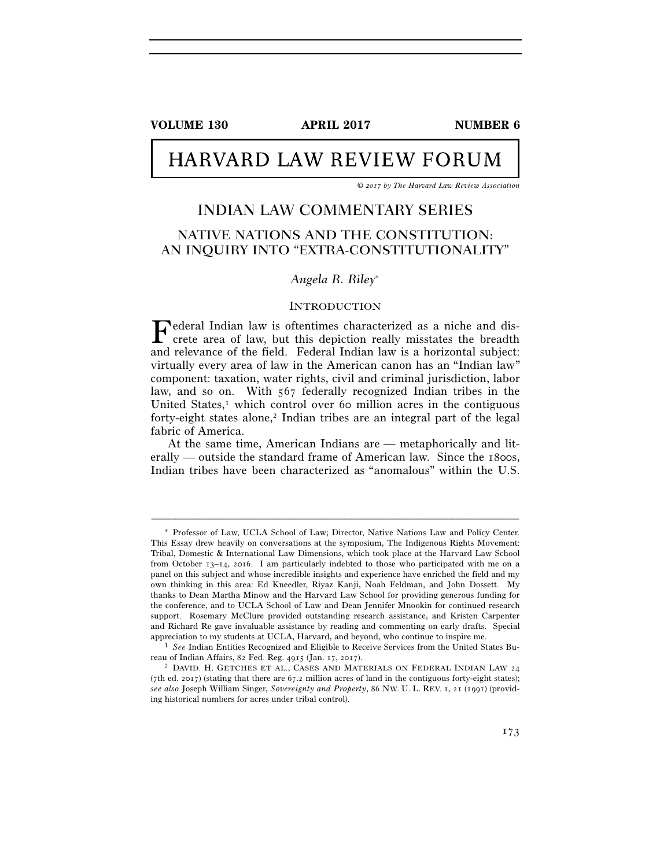**VOLUME 130 APRIL 2017 NUMBER 6** 

# HARVARD LAW REVIEW FORUM

*© 2017 by The Harvard Law Review Association* 

## INDIAN LAW COMMENTARY SERIES

## NATIVE NATIONS AND THE CONSTITUTION: AN INQUIRY INTO "EXTRA-CONSTITUTIONALITY"

#### *Angela R. Riley*<sup>∗</sup>

#### INTRODUCTION

Federal Indian law is oftentimes characterized as a niche and discrete area of law, but this depiction really misstates the breadth crete area of law, but this depiction really misstates the breadth and relevance of the field. Federal Indian law is a horizontal subject: virtually every area of law in the American canon has an "Indian law" component: taxation, water rights, civil and criminal jurisdiction, labor law, and so on. With 567 federally recognized Indian tribes in the United States, $\frac{1}{1}$  which control over 60 million acres in the contiguous forty-eight states alone,<sup>2</sup> Indian tribes are an integral part of the legal fabric of America.

At the same time, American Indians are — metaphorically and literally — outside the standard frame of American law. Since the 1800s, Indian tribes have been characterized as "anomalous" within the U.S.

<sup>∗</sup> Professor of Law, UCLA School of Law; Director, Native Nations Law and Policy Center. This Essay drew heavily on conversations at the symposium, The Indigenous Rights Movement: Tribal, Domestic & International Law Dimensions, which took place at the Harvard Law School from October 13–14, 2016. I am particularly indebted to those who participated with me on a panel on this subject and whose incredible insights and experience have enriched the field and my own thinking in this area: Ed Kneedler, Riyaz Kanji, Noah Feldman, and John Dossett. My thanks to Dean Martha Minow and the Harvard Law School for providing generous funding for the conference, and to UCLA School of Law and Dean Jennifer Mnookin for continued research support. Rosemary McClure provided outstanding research assistance, and Kristen Carpenter and Richard Re gave invaluable assistance by reading and commenting on early drafts. Special appreciation to my students at UCLA, Harvard, and beyond, who continue to inspire me. 1 *See* Indian Entities Recognized and Eligible to Receive Services from the United States Bu-

reau of Indian Affairs, 82 Fed. Reg. 4915 (Jan. 17, 2017).<br><sup>2</sup> DAVID. H. GETCHES ET AL., CASES AND MATERIALS ON FEDERAL INDIAN LAW 24

<sup>(7</sup>th ed. 2017) (stating that there are 67.2 million acres of land in the contiguous forty-eight states); *see also* Joseph William Singer, *Sovereignty and Property*, 86 NW. U. L. REV. 1, 21 (1991) (providing historical numbers for acres under tribal control).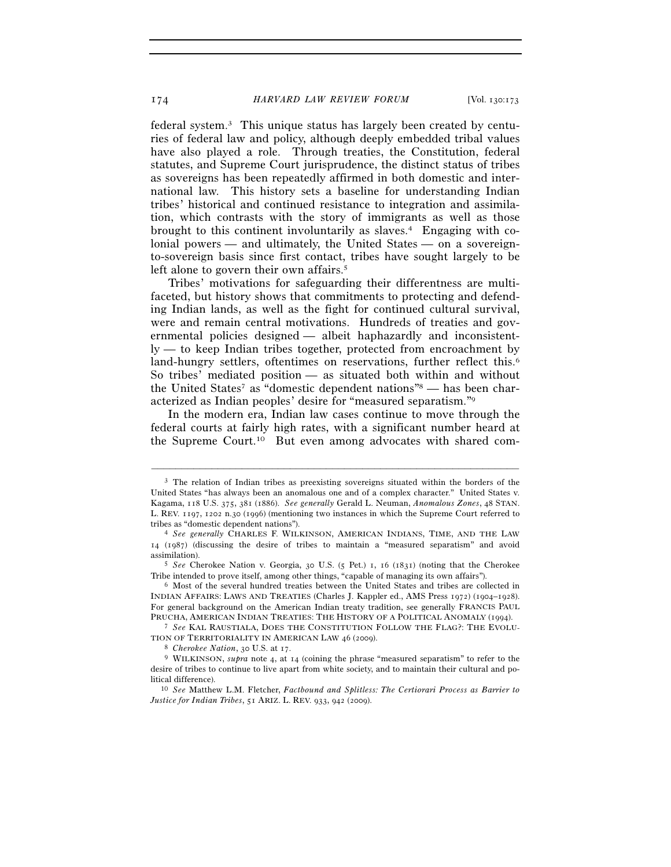federal system.3 This unique status has largely been created by centuries of federal law and policy, although deeply embedded tribal values have also played a role. Through treaties, the Constitution, federal statutes, and Supreme Court jurisprudence, the distinct status of tribes as sovereigns has been repeatedly affirmed in both domestic and international law. This history sets a baseline for understanding Indian tribes' historical and continued resistance to integration and assimilation, which contrasts with the story of immigrants as well as those brought to this continent involuntarily as slaves.4 Engaging with colonial powers — and ultimately, the United States — on a sovereignto-sovereign basis since first contact, tribes have sought largely to be left alone to govern their own affairs.<sup>5</sup>

Tribes' motivations for safeguarding their differentness are multifaceted, but history shows that commitments to protecting and defending Indian lands, as well as the fight for continued cultural survival, were and remain central motivations. Hundreds of treaties and governmental policies designed — albeit haphazardly and inconsistently — to keep Indian tribes together, protected from encroachment by land-hungry settlers, oftentimes on reservations, further reflect this.<sup>6</sup> So tribes' mediated position — as situated both within and without the United States<sup>7</sup> as "domestic dependent nations"<sup>8</sup> — has been characterized as Indian peoples' desire for "measured separatism."9

In the modern era, Indian law cases continue to move through the federal courts at fairly high rates, with a significant number heard at the Supreme Court.10 But even among advocates with shared com-

–––––––––––––––––––––––––––––––––––––––––––––––––––––––––––––

TION OF TERRITORIALITY IN AMERICAN LAW 46 (2009).<br><sup>8</sup> *Cherokee Nation*, 30 U.S. at 17.<br><sup>9</sup> WILKINSON, *supra* note 4, at 14 (coining the phrase "measured separatism" to refer to the

<sup>3</sup> The relation of Indian tribes as preexisting sovereigns situated within the borders of the United States "has always been an anomalous one and of a complex character." United States v. Kagama, 118 U.S. 375, 381 (1886). *See generally* Gerald L. Neuman, *Anomalous Zones*, 48 STAN. L. REV. 1197, 1202 n.30 (1996) (mentioning two instances in which the Supreme Court referred to

tribes as "domestic dependent nations"). 4 *See generally* CHARLES F. WILKINSON, AMERICAN INDIANS, TIME, AND THE LAW 14 (1987) (discussing the desire of tribes to maintain a "measured separatism" and avoid assimilation). 5 *See* Cherokee Nation v. Georgia, 30 U.S. (5 Pet.) 1, 16 (1831) (noting that the Cherokee

Tribe intended to prove itself, among other things, "capable of managing its own affairs").<br><sup>6</sup> Most of the several hundred treaties between the United States and tribes are collected in

INDIAN AFFAIRS: LAWS AND TREATIES (Charles J. Kappler ed., AMS Press 1972) (1904–1928). For general background on the American Indian treaty tradition, see generally FRANCIS PAUL PRUCHA, AMERICAN INDIAN TREATIES: THE HISTORY OF <sup>A</sup> POLITICAL ANOMALY (1994). 7 *See* KAL RAUSTIALA, DOES THE CONSTITUTION FOLLOW THE FLAG?: THE EVOLU-

desire of tribes to continue to live apart from white society, and to maintain their cultural and po-<br>litical difference).

<sup>&</sup>lt;sup>10</sup> See Matthew L.M. Fletcher, *Factbound and Splitless: The Certiorari Process as Barrier to Justice for Indian Tribes*, 51 ARIZ. L. REV. 933, 942 (2009).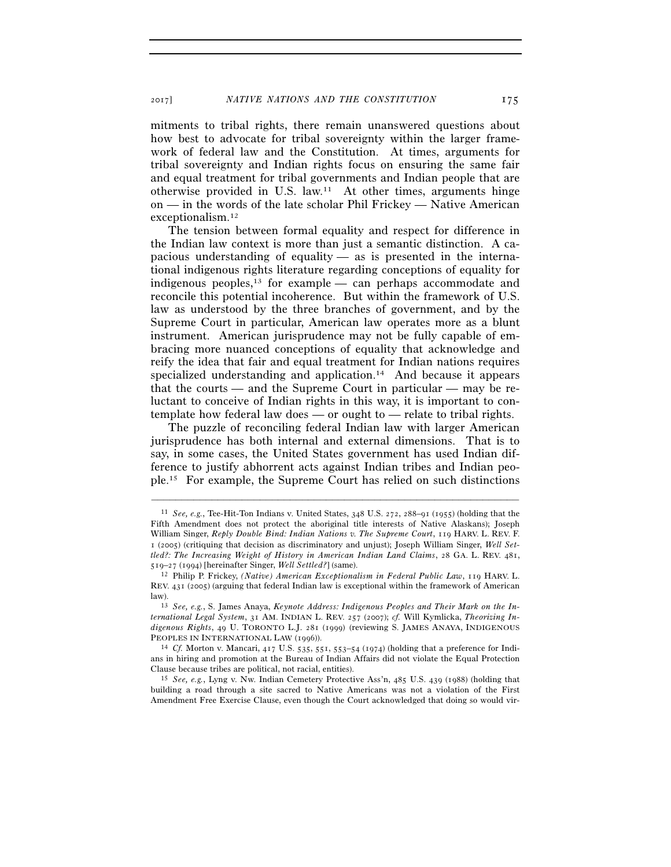mitments to tribal rights, there remain unanswered questions about how best to advocate for tribal sovereignty within the larger framework of federal law and the Constitution. At times, arguments for tribal sovereignty and Indian rights focus on ensuring the same fair and equal treatment for tribal governments and Indian people that are otherwise provided in U.S. law.11 At other times, arguments hinge on — in the words of the late scholar Phil Frickey — Native American exceptionalism.12

The tension between formal equality and respect for difference in the Indian law context is more than just a semantic distinction. A capacious understanding of equality — as is presented in the international indigenous rights literature regarding conceptions of equality for indigenous peoples, $^{13}$  for example — can perhaps accommodate and reconcile this potential incoherence. But within the framework of U.S. law as understood by the three branches of government, and by the Supreme Court in particular, American law operates more as a blunt instrument. American jurisprudence may not be fully capable of embracing more nuanced conceptions of equality that acknowledge and reify the idea that fair and equal treatment for Indian nations requires specialized understanding and application.<sup>14</sup> And because it appears that the courts — and the Supreme Court in particular — may be reluctant to conceive of Indian rights in this way, it is important to contemplate how federal law does — or ought to — relate to tribal rights.

The puzzle of reconciling federal Indian law with larger American jurisprudence has both internal and external dimensions. That is to say, in some cases, the United States government has used Indian difference to justify abhorrent acts against Indian tribes and Indian people.15 For example, the Supreme Court has relied on such distinctions

<sup>11</sup> *See, e.g.*, Tee-Hit-Ton Indians v. United States, 348 U.S. 272, 288–91 (1955) (holding that the Fifth Amendment does not protect the aboriginal title interests of Native Alaskans); Joseph William Singer, *Reply Double Bind: Indian Nations v. The Supreme Court*, 119 HARV. L. REV. F. 1 (2005) (critiquing that decision as discriminatory and unjust); Joseph William Singer, *Well Settled?: The Increasing Weight of History in American Indian Land Claims*, 28 GA. L. REV. 481, 519–27 (1994) [hereinafter Singer, *Well Settled?*] (same). 12 Philip P. Frickey, *(Native) American Exceptionalism in Federal Public Law*, 119 HARV. L.

REV. 431 (2005) (arguing that federal Indian law is exceptional within the framework of American law). 13 *See, e.g.*, S. James Anaya, *Keynote Address: Indigenous Peoples and Their Mark on the In-*

*ternational Legal System*, 31 AM. INDIAN L. REV. 257 (2007); *cf.* Will Kymlicka, *Theorizing Indigenous Rights*, 49 U. TORONTO L.J. 281 (1999) (reviewing S. JAMES ANAYA, INDIGENOUS PEOPLES IN INTERNATIONAL LAW (1996)).

<sup>&</sup>lt;sup>14</sup> *Cf.* Morton v. Mancari, 417 U.S. 535, 551, 553-54 (1974) (holding that a preference for Indians in hiring and promotion at the Bureau of Indian Affairs did not violate the Equal Protection Clause because tribes are political, not racial, entities). 15 *See, e.g.*, Lyng v. Nw. Indian Cemetery Protective Ass'n, 485 U.S. 439 (1988) (holding that

building a road through a site sacred to Native Americans was not a violation of the First Amendment Free Exercise Clause, even though the Court acknowledged that doing so would vir-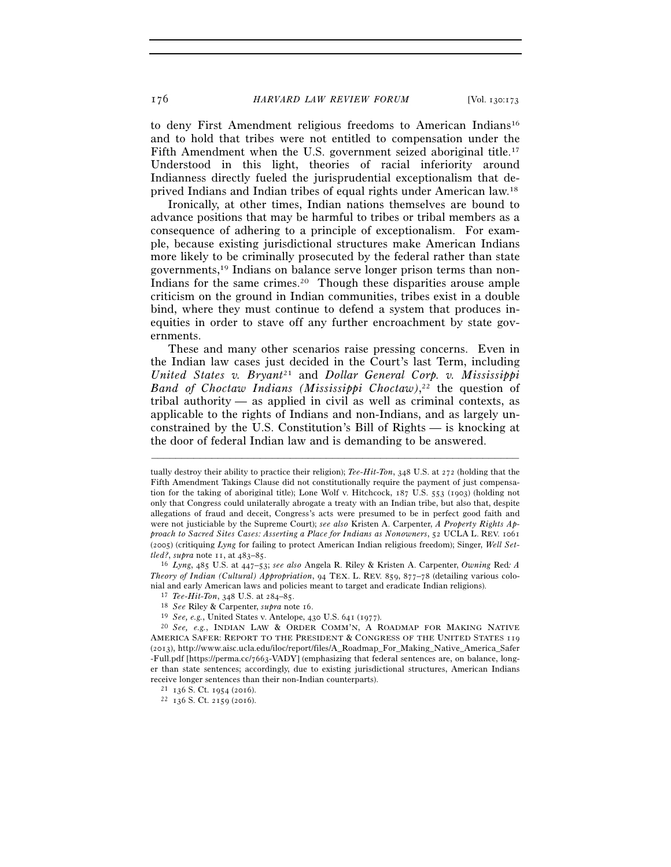176 *HARVARD LAW REVIEW FORUM* [Vol. 130:173

to deny First Amendment religious freedoms to American Indians<sup>16</sup> and to hold that tribes were not entitled to compensation under the Fifth Amendment when the U.S. government seized aboriginal title.<sup>17</sup> Understood in this light, theories of racial inferiority around Indianness directly fueled the jurisprudential exceptionalism that deprived Indians and Indian tribes of equal rights under American law.18

Ironically, at other times, Indian nations themselves are bound to advance positions that may be harmful to tribes or tribal members as a consequence of adhering to a principle of exceptionalism. For example, because existing jurisdictional structures make American Indians more likely to be criminally prosecuted by the federal rather than state governments,19 Indians on balance serve longer prison terms than non-Indians for the same crimes.<sup>20</sup> Though these disparities arouse ample criticism on the ground in Indian communities, tribes exist in a double bind, where they must continue to defend a system that produces inequities in order to stave off any further encroachment by state governments.

These and many other scenarios raise pressing concerns. Even in the Indian law cases just decided in the Court's last Term, including *United States v. Bryant*21 and *Dollar General Corp. v. Mississippi Band of Choctaw Indians (Mississippi Choctaw)*, 22 the question of tribal authority — as applied in civil as well as criminal contexts, as applicable to the rights of Indians and non-Indians, and as largely unconstrained by the U.S. Constitution's Bill of Rights — is knocking at the door of federal Indian law and is demanding to be answered.

tually destroy their ability to practice their religion); *Tee-Hit-Ton*, 348 U.S. at 272 (holding that the Fifth Amendment Takings Clause did not constitutionally require the payment of just compensation for the taking of aboriginal title); Lone Wolf v. Hitchcock, 187 U.S. 553 (1903) (holding not only that Congress could unilaterally abrogate a treaty with an Indian tribe, but also that, despite allegations of fraud and deceit, Congress's acts were presumed to be in perfect good faith and were not justiciable by the Supreme Court); *see also* Kristen A. Carpenter, *A Property Rights Approach to Sacred Sites Cases: Asserting a Place for Indians as Nonowners*, 52 UCLA L. REV. 1061 (2005) (critiquing *Lyng* for failing to protect American Indian religious freedom); Singer, *Well Set-*

*tled?*, *supra* note 11, at 483–85. 16 *Lyng*, 485 U.S. at 447–53; *see also* Angela R. Riley & Kristen A. Carpenter, *Owning* Red*: A Theory of Indian (Cultural) Appropriation*, 94 TEX. L. REV. 859, 877–78 (detailing various colonial and early American laws and policies meant to target and eradicate Indian religions).<br>
<sup>17</sup> *Tee-Hit-Ton*, 348 U.S. at 284–85.<br>
<sup>18</sup> *See* Riley & Carpenter, *supra* note 16.<br>
<sup>19</sup> *See*, *e.g.*, United States v. Ant

AMERICA SAFER: REPORT TO THE PRESIDENT & CONGRESS OF THE UNITED STATES 119 (2013), http://www.aisc.ucla.edu/iloc/report/files/A\_Roadmap\_For\_Making\_Native\_America\_Safer -Full.pdf [https://perma.cc/7663-VADY] (emphasizing that federal sentences are, on balance, longer than state sentences; accordingly, due to existing jurisdictional structures, American Indians receive longer sentences than their non-Indian counterparts).<br> $^{21}$  136 S. Ct. 1954 (2016).  $^{22}$  136 S. Ct. 2159 (2016).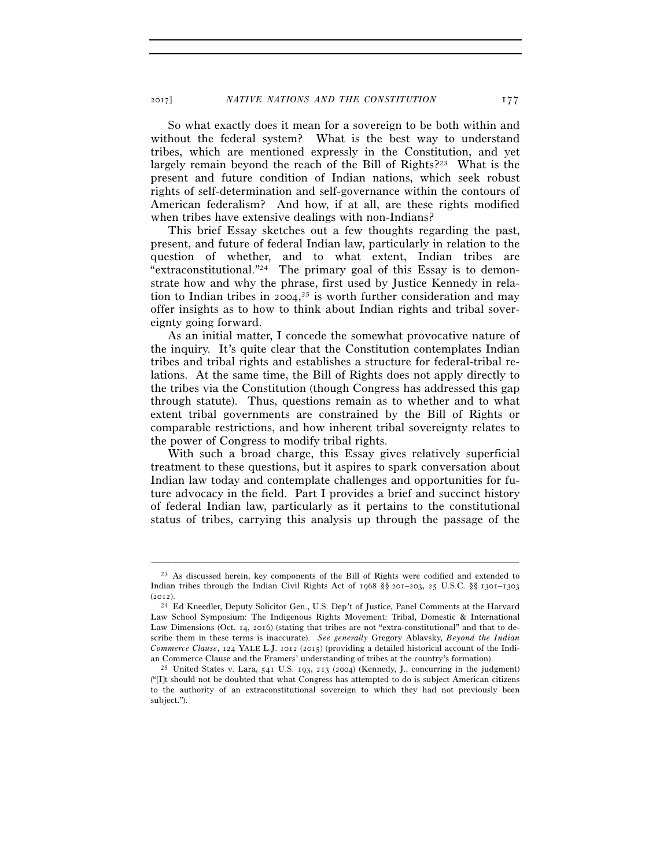So what exactly does it mean for a sovereign to be both within and without the federal system? What is the best way to understand tribes, which are mentioned expressly in the Constitution, and yet largely remain beyond the reach of the Bill of Rights?<sup>23</sup> What is the present and future condition of Indian nations, which seek robust rights of self-determination and self-governance within the contours of American federalism? And how, if at all, are these rights modified when tribes have extensive dealings with non-Indians?

This brief Essay sketches out a few thoughts regarding the past, present, and future of federal Indian law, particularly in relation to the question of whether, and to what extent, Indian tribes are "extraconstitutional."24 The primary goal of this Essay is to demonstrate how and why the phrase, first used by Justice Kennedy in relation to Indian tribes in 2004, 25 is worth further consideration and may offer insights as to how to think about Indian rights and tribal sovereignty going forward.

As an initial matter, I concede the somewhat provocative nature of the inquiry. It's quite clear that the Constitution contemplates Indian tribes and tribal rights and establishes a structure for federal-tribal relations. At the same time, the Bill of Rights does not apply directly to the tribes via the Constitution (though Congress has addressed this gap through statute). Thus, questions remain as to whether and to what extent tribal governments are constrained by the Bill of Rights or comparable restrictions, and how inherent tribal sovereignty relates to the power of Congress to modify tribal rights.

With such a broad charge, this Essay gives relatively superficial treatment to these questions, but it aspires to spark conversation about Indian law today and contemplate challenges and opportunities for future advocacy in the field. Part I provides a brief and succinct history of federal Indian law, particularly as it pertains to the constitutional status of tribes, carrying this analysis up through the passage of the

<sup>&</sup>lt;sup>23</sup> As discussed herein, key components of the Bill of Rights were codified and extended to Indian tribes through the Indian Civil Rights Act of 1968 §§ 201–203, 25 U.S.C. §§ 1301–1303

<sup>(</sup>2012). 24 Ed Kneedler, Deputy Solicitor Gen., U.S. Dep't of Justice, Panel Comments at the Harvard Law School Symposium: The Indigenous Rights Movement: Tribal, Domestic & International Law Dimensions (Oct. 14, 2016) (stating that tribes are not "extra-constitutional" and that to describe them in these terms is inaccurate). *See generally* Gregory Ablavsky, *Beyond the Indian Commerce Clause*, 124 YALE L.J. 1012 (2015) (providing a detailed historical account of the Indi-

an Commerce Clause and the Framers' understanding of tribes at the country's formation). <sup>25</sup> United States v. Lara, 541 U.S. 193, 213 (2004) (Kennedy, J., concurring in the judgment) ("[I]t should not be doubted that what Congress has attempted to do is subject American citizens to the authority of an extraconstitutional sovereign to which they had not previously been subject.").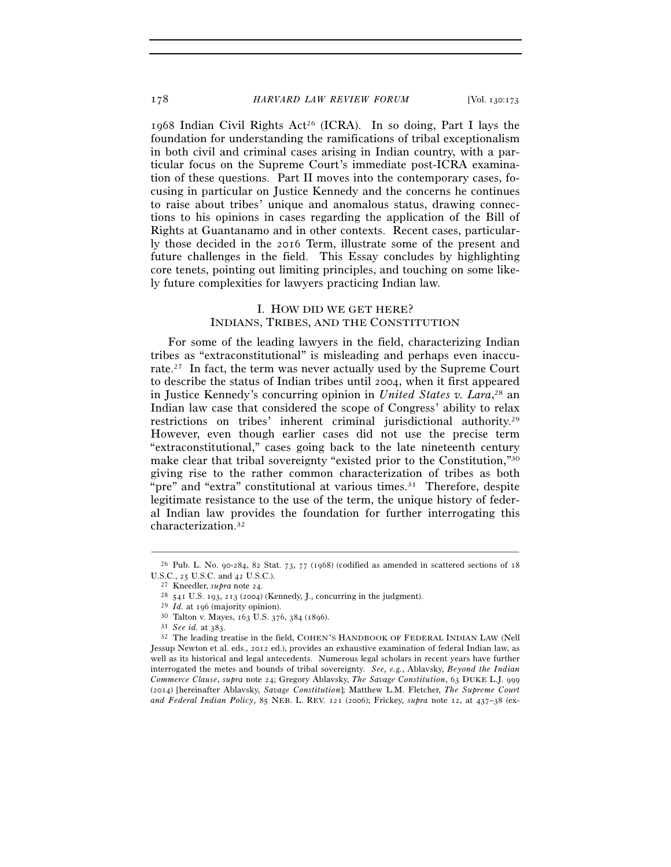1968 Indian Civil Rights Act26 (ICRA). In so doing, Part I lays the foundation for understanding the ramifications of tribal exceptionalism in both civil and criminal cases arising in Indian country, with a particular focus on the Supreme Court's immediate post-ICRA examination of these questions. Part II moves into the contemporary cases, focusing in particular on Justice Kennedy and the concerns he continues to raise about tribes' unique and anomalous status, drawing connections to his opinions in cases regarding the application of the Bill of Rights at Guantanamo and in other contexts. Recent cases, particularly those decided in the 2016 Term, illustrate some of the present and future challenges in the field. This Essay concludes by highlighting core tenets, pointing out limiting principles, and touching on some likely future complexities for lawyers practicing Indian law.

### I. HOW DID WE GET HERE? INDIANS, TRIBES, AND THE CONSTITUTION

For some of the leading lawyers in the field, characterizing Indian tribes as "extraconstitutional" is misleading and perhaps even inaccurate.27 In fact, the term was never actually used by the Supreme Court to describe the status of Indian tribes until 2004, when it first appeared in Justice Kennedy's concurring opinion in *United States v. Lara*, 28 an Indian law case that considered the scope of Congress' ability to relax restrictions on tribes' inherent criminal jurisdictional authority.<sup>29</sup> However, even though earlier cases did not use the precise term "extraconstitutional," cases going back to the late nineteenth century make clear that tribal sovereignty "existed prior to the Constitution,"30 giving rise to the rather common characterization of tribes as both "pre" and "extra" constitutional at various times.<sup>31</sup> Therefore, despite legitimate resistance to the use of the term, the unique history of federal Indian law provides the foundation for further interrogating this characterization.32

<sup>–––––––––––––––––––––––––––––––––––––––––––––––––––––––––––––</sup> 26 Pub. L. No. 90-284, 82 Stat. 73, 77 (1968) (codified as amended in scattered sections of 18 U.S.C., 25 U.S.C. and 42 U.S.C.).<br>
<sup>27</sup> Kneedler, *supra* note 24.<br>
<sup>28</sup> 541 U.S. 193, 213 (2004) (Kennedy, J., concurring in the judgment).<br>
<sup>29</sup> *Id.* at 196 (majority opinion).<br>
<sup>30</sup> Talton v. Mayes, 163 U.S. 376, 384

Jessup Newton et al. eds., 2012 ed.), provides an exhaustive examination of federal Indian law, as well as its historical and legal antecedents. Numerous legal scholars in recent years have further interrogated the metes and bounds of tribal sovereignty. *See, e.g.*, Ablavsky, *Beyond the Indian Commerce Clause*, *supra* note 24; Gregory Ablavsky, *The Savage Constitution*, 63 DUKE L.J. 999 (2014) [hereinafter Ablavsky, *Savage Constitution*]; Matthew L.M. Fletcher, *The Supreme Court and Federal Indian Policy*, 85 NEB. L. REV. 121 (2006); Frickey, *supra* note 12, at 437–38 (ex-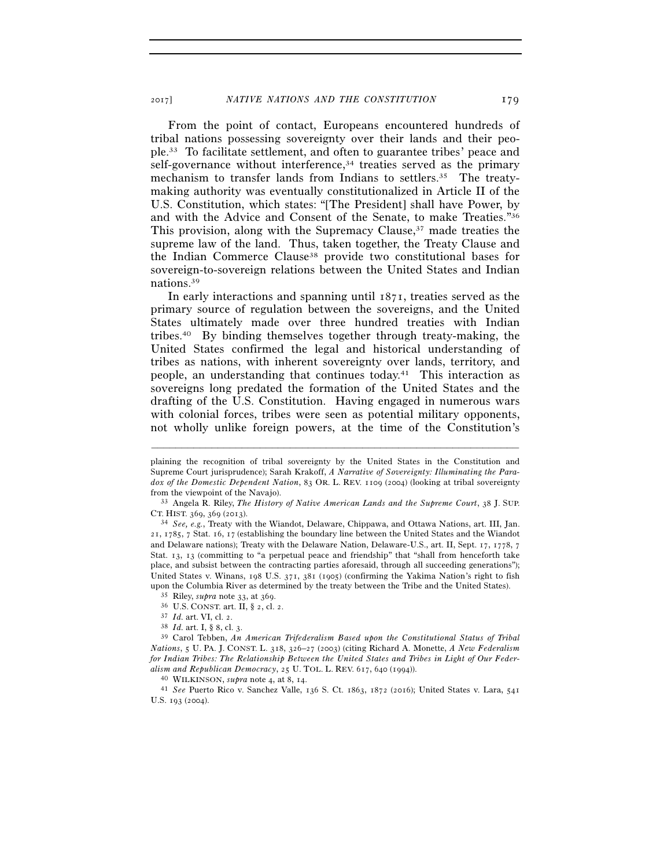From the point of contact, Europeans encountered hundreds of tribal nations possessing sovereignty over their lands and their people.33 To facilitate settlement, and often to guarantee tribes' peace and self-governance without interference,34 treaties served as the primary mechanism to transfer lands from Indians to settlers.<sup>35</sup> The treatymaking authority was eventually constitutionalized in Article II of the U.S. Constitution, which states: "[The President] shall have Power, by and with the Advice and Consent of the Senate, to make Treaties."36 This provision, along with the Supremacy Clause,<sup>37</sup> made treaties the supreme law of the land. Thus, taken together, the Treaty Clause and the Indian Commerce Clause38 provide two constitutional bases for sovereign-to-sovereign relations between the United States and Indian nations.39

In early interactions and spanning until 1871, treaties served as the primary source of regulation between the sovereigns, and the United States ultimately made over three hundred treaties with Indian tribes.40 By binding themselves together through treaty-making, the United States confirmed the legal and historical understanding of tribes as nations, with inherent sovereignty over lands, territory, and people, an understanding that continues today.41 This interaction as sovereigns long predated the formation of the United States and the drafting of the U.S. Constitution. Having engaged in numerous wars with colonial forces, tribes were seen as potential military opponents, not wholly unlike foreign powers, at the time of the Constitution's

plaining the recognition of tribal sovereignty by the United States in the Constitution and Supreme Court jurisprudence); Sarah Krakoff, *A Narrative of Sovereignty: Illuminating the Paradox of the Domestic Dependent Nation*, 83 OR. L. REV. 1109 (2004) (looking at tribal sovereignty from the viewpoint of the Navajo). 33 Angela R. Riley, *The History of Native American Lands and the Supreme Court*, 38 J. SUP.

CT. HIST. 369, 369 (2013). 34 *See, e.g.*, Treaty with the Wiandot, Delaware, Chippawa, and Ottawa Nations, art. III, Jan.

<sup>21</sup>, 1785, 7 Stat. 16, 17 (establishing the boundary line between the United States and the Wiandot and Delaware nations); Treaty with the Delaware Nation, Delaware-U.S., art. II, Sept. 17, 1778, 7 Stat. 13, 13 (committing to "a perpetual peace and friendship" that "shall from henceforth take place, and subsist between the contracting parties aforesaid, through all succeeding generations"); United States v. Winans, 198 U.S. 371, 381 (1905) (confirming the Yakima Nation's right to fish upon the Columbia River as determined by the treaty between the Tribe and the United States).<br>
<sup>35</sup> Riley, *supra* note 33, at 369.<br>
<sup>36</sup> U.S. CONST. art. II, § 2, cl. 2.<br>
<sup>37</sup> Id. art. VI, cl. 2.<br>
<sup>37</sup> Id. art. I, § 8, c

*Nations*, 5 U. PA. J. CONST. L. 318, 326–27 (2003) (citing Richard A. Monette, *A New Federalism for Indian Tribes: The Relationship Between the United States and Tribes in Light of Our Federalism and Republican Democracy*, 25 U. TOL. L. REV. 617, 640 (1994)). 40 WILKINSON, *supra* note 4, at 8, 14. 41 *See* Puerto Rico v. Sanchez Valle, 136 S. Ct. 1863, 1872 (2016); United States v. Lara, <sup>541</sup>

U.S. 193 (2004).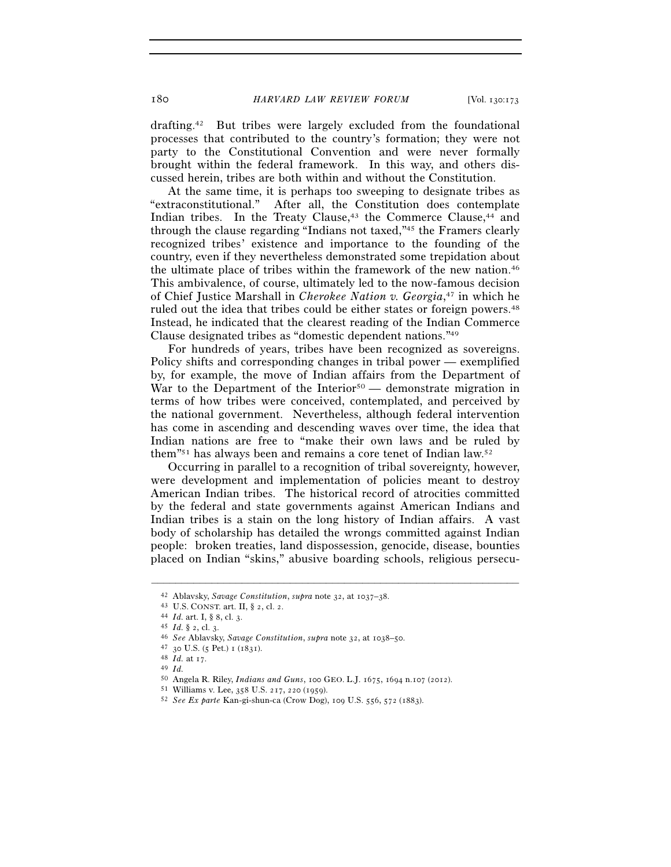drafting.42 But tribes were largely excluded from the foundational processes that contributed to the country's formation; they were not party to the Constitutional Convention and were never formally brought within the federal framework. In this way, and others discussed herein, tribes are both within and without the Constitution.

At the same time, it is perhaps too sweeping to designate tribes as "extraconstitutional." After all, the Constitution does contemplate After all, the Constitution does contemplate Indian tribes. In the Treaty Clause,<sup>43</sup> the Commerce Clause,<sup>44</sup> and through the clause regarding "Indians not taxed,"45 the Framers clearly recognized tribes' existence and importance to the founding of the country, even if they nevertheless demonstrated some trepidation about the ultimate place of tribes within the framework of the new nation.46 This ambivalence, of course, ultimately led to the now-famous decision of Chief Justice Marshall in *Cherokee Nation v. Georgia*, 47 in which he ruled out the idea that tribes could be either states or foreign powers.48 Instead, he indicated that the clearest reading of the Indian Commerce Clause designated tribes as "domestic dependent nations."49

For hundreds of years, tribes have been recognized as sovereigns. Policy shifts and corresponding changes in tribal power — exemplified by, for example, the move of Indian affairs from the Department of War to the Department of the Interior<sup>50</sup> — demonstrate migration in terms of how tribes were conceived, contemplated, and perceived by the national government. Nevertheless, although federal intervention has come in ascending and descending waves over time, the idea that Indian nations are free to "make their own laws and be ruled by them"51 has always been and remains a core tenet of Indian law.52

Occurring in parallel to a recognition of tribal sovereignty, however, were development and implementation of policies meant to destroy American Indian tribes. The historical record of atrocities committed by the federal and state governments against American Indians and Indian tribes is a stain on the long history of Indian affairs. A vast body of scholarship has detailed the wrongs committed against Indian people: broken treaties, land dispossession, genocide, disease, bounties placed on Indian "skins," abusive boarding schools, religious persecu-

<sup>42</sup> Ablavsky, *Savage Constitution, supra* note 32, at  $1037-38$ .<br>
43 U.S. CONST. art. II, § 2, cl. 2.<br>
44 Id. art. I, § 8, cl. 3.<br>
45 Id. § 2, cl. 3.<br>
46 *See* Ablavsky, *Savage Constitution, supra* note 32, at  $1038-50$ .

<sup>50</sup> Angela R. Riley, *Indians and Guns*, 100 GEO. L.J. 1675, 1694 n.107 (2012). 51 Williams v. Lee, 358 U.S. 217, 220 (1959). 52 *See Ex parte* Kan-gi-shun-ca (Crow Dog), 109 U.S. 556, 572 (1883).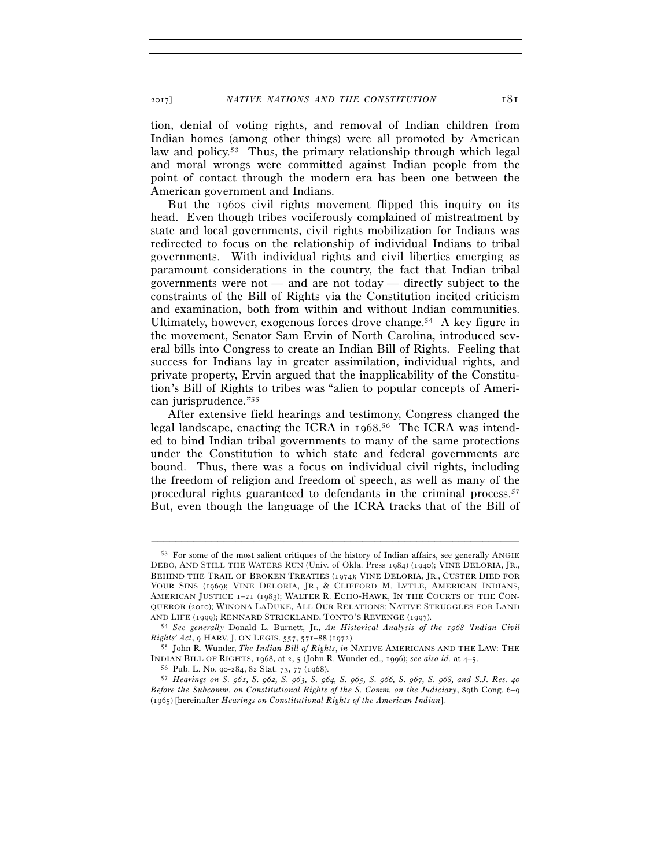tion, denial of voting rights, and removal of Indian children from Indian homes (among other things) were all promoted by American law and policy.<sup>53</sup> Thus, the primary relationship through which legal and moral wrongs were committed against Indian people from the point of contact through the modern era has been one between the American government and Indians.

But the 1960s civil rights movement flipped this inquiry on its head. Even though tribes vociferously complained of mistreatment by state and local governments, civil rights mobilization for Indians was redirected to focus on the relationship of individual Indians to tribal governments. With individual rights and civil liberties emerging as paramount considerations in the country, the fact that Indian tribal governments were not — and are not today — directly subject to the constraints of the Bill of Rights via the Constitution incited criticism and examination, both from within and without Indian communities. Ultimately, however, exogenous forces drove change.<sup>54</sup> A key figure in the movement, Senator Sam Ervin of North Carolina, introduced several bills into Congress to create an Indian Bill of Rights. Feeling that success for Indians lay in greater assimilation, individual rights, and private property, Ervin argued that the inapplicability of the Constitution's Bill of Rights to tribes was "alien to popular concepts of American jurisprudence."55

After extensive field hearings and testimony, Congress changed the legal landscape, enacting the ICRA in 1968. 56 The ICRA was intended to bind Indian tribal governments to many of the same protections under the Constitution to which state and federal governments are bound. Thus, there was a focus on individual civil rights, including the freedom of religion and freedom of speech, as well as many of the procedural rights guaranteed to defendants in the criminal process.57 But, even though the language of the ICRA tracks that of the Bill of

<sup>53</sup> For some of the most salient critiques of the history of Indian affairs, see generally ANGIE DEBO, AND STILL THE WATERS RUN (Univ. of Okla. Press 1984) (1940); VINE DELORIA, JR., BEHIND THE TRAIL OF BROKEN TREATIES (1974); VINE DELORIA, JR., CUSTER DIED FOR YOUR SINS (1969); VINE DELORIA, JR., & CLIFFORD M. LYTLE, AMERICAN INDIANS, AMERICAN JUSTICE 1–21 (1983); WALTER R. ECHO-HAWK, IN THE COURTS OF THE CON-QUEROR (2010); WINONA LADUKE, ALL OUR RELATIONS: NATIVE STRUGGLES FOR LAND AND LIFE (1999); RENNARD STRICKLAND, TONTO'S REVENGE (1997). 54 *See generally* Donald L. Burnett, Jr., *An Historical Analysis of the 1968 'Indian Civil* 

*Rights' Act*, 9 HARV. J. ON LEGIS. 557, 571–88 (1972). 55 John R. Wunder, *The Indian Bill of Rights*, *in* NATIVE AMERICANS AND THE LAW: THE

INDIAN BILL OF RIGHTS, 1968, at 2, 5 (John R. Wunder ed., 1996); see also id. at 4–5.<br><sup>56</sup> Pub. L. No. 90-284, 82 Stat. 73, 77 (1968).<br><sup>57</sup> Hearings on S. 961, S. 962, S. 963, S. 964, S. 965, S. 966, S. 967, S. 968, and S.

*Before the Subcomm. on Constitutional Rights of the S. Comm. on the Judiciary*, 89th Cong. 6–9 (1965) [hereinafter *Hearings on Constitutional Rights of the American Indian*].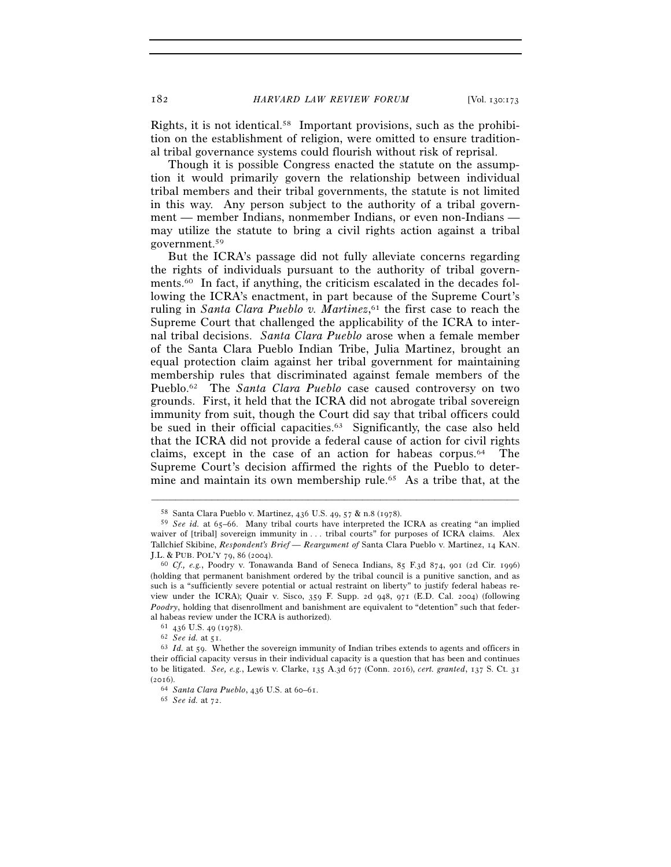182 *HARVARD LAW REVIEW FORUM* [Vol. 130:173

Rights, it is not identical.58 Important provisions, such as the prohibition on the establishment of religion, were omitted to ensure traditional tribal governance systems could flourish without risk of reprisal.

Though it is possible Congress enacted the statute on the assumption it would primarily govern the relationship between individual tribal members and their tribal governments, the statute is not limited in this way. Any person subject to the authority of a tribal government — member Indians, nonmember Indians, or even non-Indians may utilize the statute to bring a civil rights action against a tribal government.59

But the ICRA's passage did not fully alleviate concerns regarding the rights of individuals pursuant to the authority of tribal governments.60 In fact, if anything, the criticism escalated in the decades following the ICRA's enactment, in part because of the Supreme Court's ruling in *Santa Clara Pueblo v. Martinez*,<sup>61</sup> the first case to reach the Supreme Court that challenged the applicability of the ICRA to internal tribal decisions. *Santa Clara Pueblo* arose when a female member of the Santa Clara Pueblo Indian Tribe, Julia Martinez, brought an equal protection claim against her tribal government for maintaining membership rules that discriminated against female members of the Pueblo.62 The *Santa Clara Pueblo* case caused controversy on two grounds. First, it held that the ICRA did not abrogate tribal sovereign immunity from suit, though the Court did say that tribal officers could be sued in their official capacities.<sup>63</sup> Significantly, the case also held that the ICRA did not provide a federal cause of action for civil rights claims, except in the case of an action for habeas corpus.64 The Supreme Court's decision affirmed the rights of the Pueblo to determine and maintain its own membership rule.<sup>65</sup> As a tribe that, at the

<sup>58</sup> Santa Clara Pueblo v. Martinez, 436 U.S. 49, 57 & n.8 (1978).

<sup>59</sup> *See id.* at 65–66. Many tribal courts have interpreted the ICRA as creating "an implied waiver of [tribal] sovereign immunity in . . . tribal courts" for purposes of ICRA claims. Alex Tallchief Skibine, *Respondent's Brief — Reargument of* Santa Clara Pueblo v. Martinez, 14 KAN.

<sup>&</sup>lt;sup>60</sup> Cf., e.g., Poodry v. Tonawanda Band of Seneca Indians, 85 F.3d 874, 901 (2d Cir. 1996) (holding that permanent banishment ordered by the tribal council is a punitive sanction, and as such is a "sufficiently severe potential or actual restraint on liberty" to justify federal habeas review under the ICRA); Quair v. Sisco, 359 F. Supp. 2d 948, 971 (E.D. Cal. 2004) (following *Poodry*, holding that disenrollment and banishment are equivalent to "detention" such that federal habeas review under the ICRA is authorized).<br><sup>61</sup> 436 U.S. 49 (1978).<br><sup>62</sup> *See id.* at 51.<br><sup>63</sup> *Id.* at 59. Whether the sovereign immunity of Indian tribes extends to agents and officers in

their official capacity versus in their individual capacity is a question that has been and continues to be litigated. *See, e.g.*, Lewis v. Clarke, 135 A.3d 677 (Conn. 2016), *cert. granted*, 137 S. Ct. 31 (2016). 64 *Santa Clara Pueblo*, 436 U.S. at 60–61. 65 *See id.* at 72.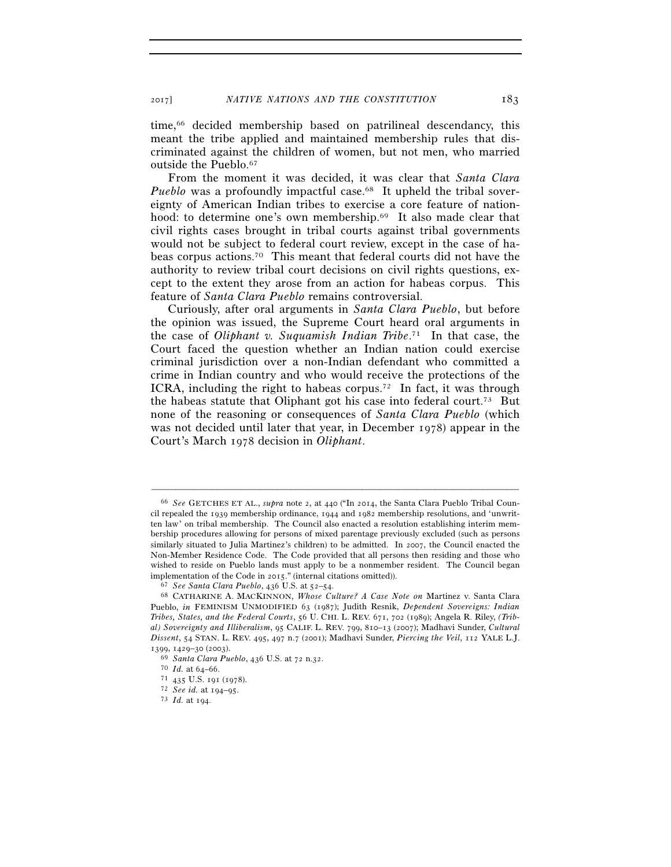time,<sup>66</sup> decided membership based on patrilineal descendancy, this meant the tribe applied and maintained membership rules that discriminated against the children of women, but not men, who married outside the Pueblo.67

From the moment it was decided, it was clear that *Santa Clara Pueblo* was a profoundly impactful case.<sup>68</sup> It upheld the tribal sovereignty of American Indian tribes to exercise a core feature of nationhood: to determine one's own membership.<sup>69</sup> It also made clear that civil rights cases brought in tribal courts against tribal governments would not be subject to federal court review, except in the case of habeas corpus actions.70 This meant that federal courts did not have the authority to review tribal court decisions on civil rights questions, except to the extent they arose from an action for habeas corpus. This feature of *Santa Clara Pueblo* remains controversial.

Curiously, after oral arguments in *Santa Clara Pueblo*, but before the opinion was issued, the Supreme Court heard oral arguments in the case of *Oliphant v. Suquamish Indian Tribe*. 71 In that case, the Court faced the question whether an Indian nation could exercise criminal jurisdiction over a non-Indian defendant who committed a crime in Indian country and who would receive the protections of the ICRA, including the right to habeas corpus.<sup>72</sup> In fact, it was through the habeas statute that Oliphant got his case into federal court.73 But none of the reasoning or consequences of *Santa Clara Pueblo* (which was not decided until later that year, in December 1978) appear in the Court's March 1978 decision in *Oliphant*.

<sup>66</sup> *See* GETCHES ET AL., *supra* note 2, at 440 ("In 2014, the Santa Clara Pueblo Tribal Council repealed the 1939 membership ordinance, 1944 and 1982 membership resolutions, and 'unwritten law' on tribal membership. The Council also enacted a resolution establishing interim membership procedures allowing for persons of mixed parentage previously excluded (such as persons similarly situated to Julia Martinez's children) to be admitted. In 2007, the Council enacted the Non-Member Residence Code. The Code provided that all persons then residing and those who wished to reside on Pueblo lands must apply to be a nonmember resident. The Council began implementation of the Code in 2015." (internal citations omitted)). 67 *See Santa Clara Pueblo*, 436 U.S. at 52–54. 68 CATHARINE A. MACKINNON, *Whose Culture? A Case Note on* Martinez v. Santa Clara

Pueblo, *in* FEMINISM UNMODIFIED 63 (1987); Judith Resnik, *Dependent Sovereigns: Indian Tribes, States, and the Federal Courts*, 56 U. CHI. L. REV. 671, 702 (1989); Angela R. Riley, *(Tribal) Sovereignty and Illiberalism*, 95 CALIF. L. REV. 799, 810–13 (2007); Madhavi Sunder, *Cultural Dissent*, 54 STAN. L. REV. 495, 497 n.7 (2001); Madhavi Sunder, *Piercing the Veil*, 112 YALE L.J. <sup>1399</sup>, 1429–30 (2003). 69 *Santa Clara Pueblo*, 436 U.S. at 72 n.32. 70 *Id.* at 64–66. 71 <sup>435</sup> U.S. 191 (1978). 72 *See id.* at 194–95. 73 *Id.* at 194.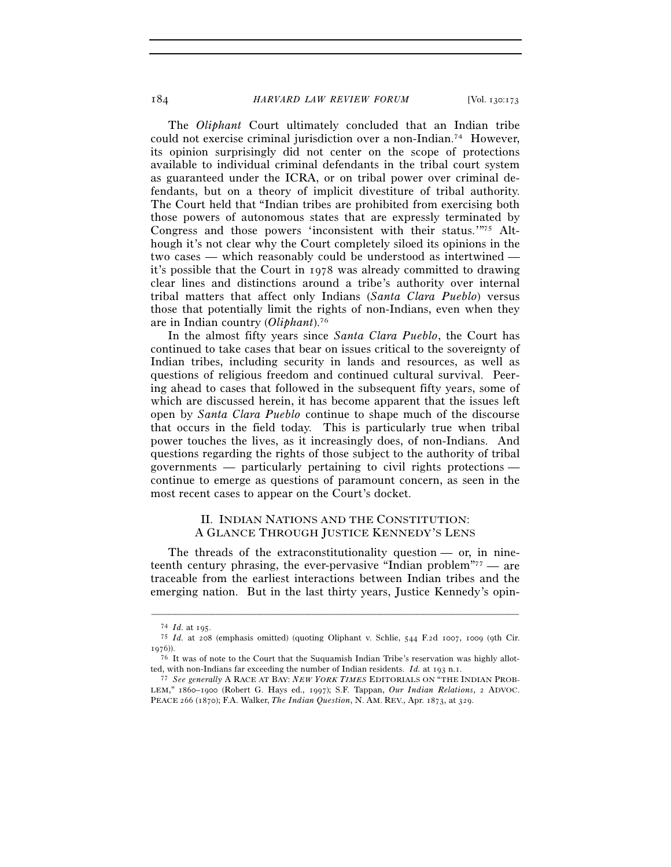The *Oliphant* Court ultimately concluded that an Indian tribe could not exercise criminal jurisdiction over a non-Indian.74 However, its opinion surprisingly did not center on the scope of protections available to individual criminal defendants in the tribal court system as guaranteed under the ICRA, or on tribal power over criminal defendants, but on a theory of implicit divestiture of tribal authority. The Court held that "Indian tribes are prohibited from exercising both those powers of autonomous states that are expressly terminated by Congress and those powers 'inconsistent with their status.'"75 Although it's not clear why the Court completely siloed its opinions in the two cases — which reasonably could be understood as intertwined it's possible that the Court in 1978 was already committed to drawing clear lines and distinctions around a tribe's authority over internal tribal matters that affect only Indians (*Santa Clara Pueblo*) versus those that potentially limit the rights of non-Indians, even when they are in Indian country (*Oliphant*).76

In the almost fifty years since *Santa Clara Pueblo*, the Court has continued to take cases that bear on issues critical to the sovereignty of Indian tribes, including security in lands and resources, as well as questions of religious freedom and continued cultural survival. Peering ahead to cases that followed in the subsequent fifty years, some of which are discussed herein, it has become apparent that the issues left open by *Santa Clara Pueblo* continue to shape much of the discourse that occurs in the field today. This is particularly true when tribal power touches the lives, as it increasingly does, of non-Indians. And questions regarding the rights of those subject to the authority of tribal governments — particularly pertaining to civil rights protections continue to emerge as questions of paramount concern, as seen in the most recent cases to appear on the Court's docket.

#### II. INDIAN NATIONS AND THE CONSTITUTION: A GLANCE THROUGH JUSTICE KENNEDY'S LENS

The threads of the extraconstitutionality question — or, in nineteenth century phrasing, the ever-pervasive "Indian problem"77 — are traceable from the earliest interactions between Indian tribes and the emerging nation. But in the last thirty years, Justice Kennedy's opin-

<sup>74</sup> *Id.* at 195. 75 *Id.* at 208 (emphasis omitted) (quoting Oliphant v. Schlie, 544 F.2d 1007, 1009 (9th Cir. 1976)).

<sup>76</sup> It was of note to the Court that the Suquamish Indian Tribe's reservation was highly allotted, with non-Indians far exceeding the number of Indian residents. *Id.* at 193 n.1.

<sup>77</sup> *See generally* A RACE AT BAY: *NEW YORK TIMES* EDITORIALS ON "THE INDIAN PROB-LEM," 1860–1900 (Robert G. Hays ed., 1997); S.F. Tappan, *Our Indian Relations*, 2 ADVOC. PEACE 266 (1870); F.A. Walker, *The Indian Question*, N. AM. REV., Apr. 1873, at 329.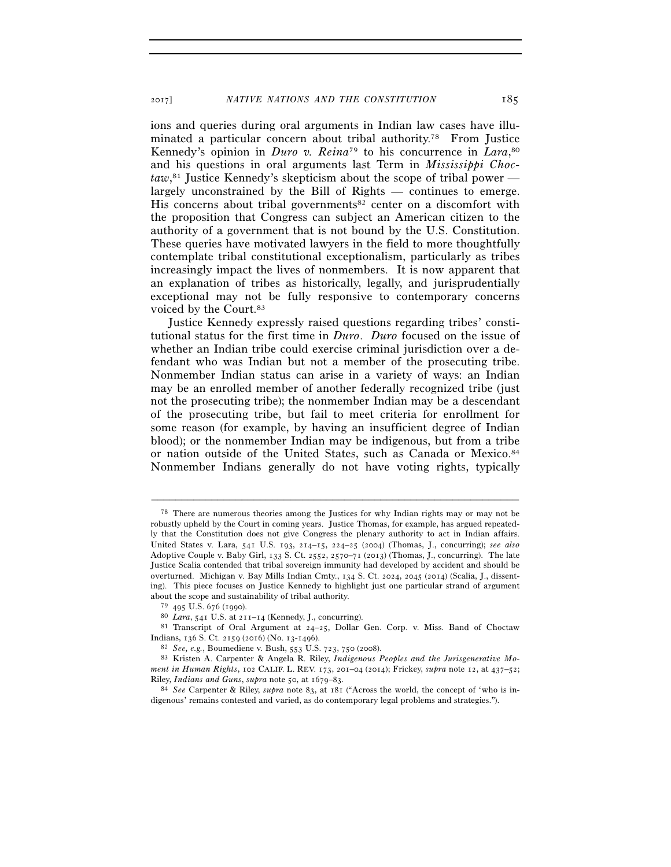ions and queries during oral arguments in Indian law cases have illuminated a particular concern about tribal authority.78 From Justice Kennedy's opinion in *Duro v. Reina*<sup>79</sup> to his concurrence in *Lara*,<sup>80</sup> and his questions in oral arguments last Term in *Mississippi Choctaw*, 81 Justice Kennedy's skepticism about the scope of tribal power largely unconstrained by the Bill of Rights — continues to emerge. His concerns about tribal governments<sup>82</sup> center on a discomfort with the proposition that Congress can subject an American citizen to the authority of a government that is not bound by the U.S. Constitution. These queries have motivated lawyers in the field to more thoughtfully contemplate tribal constitutional exceptionalism, particularly as tribes increasingly impact the lives of nonmembers. It is now apparent that an explanation of tribes as historically, legally, and jurisprudentially exceptional may not be fully responsive to contemporary concerns voiced by the Court.83

Justice Kennedy expressly raised questions regarding tribes' constitutional status for the first time in *Duro*. *Duro* focused on the issue of whether an Indian tribe could exercise criminal jurisdiction over a defendant who was Indian but not a member of the prosecuting tribe. Nonmember Indian status can arise in a variety of ways: an Indian may be an enrolled member of another federally recognized tribe (just not the prosecuting tribe); the nonmember Indian may be a descendant of the prosecuting tribe, but fail to meet criteria for enrollment for some reason (for example, by having an insufficient degree of Indian blood); or the nonmember Indian may be indigenous, but from a tribe or nation outside of the United States, such as Canada or Mexico.84 Nonmember Indians generally do not have voting rights, typically

<sup>78</sup> There are numerous theories among the Justices for why Indian rights may or may not be robustly upheld by the Court in coming years. Justice Thomas, for example, has argued repeatedly that the Constitution does not give Congress the plenary authority to act in Indian affairs. United States v. Lara, 541 U.S. 193, 214–15, 224–25 (2004) (Thomas, J., concurring); *see also* Adoptive Couple v. Baby Girl, 133 S. Ct. 2552, 2570–71 (2013) (Thomas, J., concurring). The late Justice Scalia contended that tribal sovereign immunity had developed by accident and should be overturned. Michigan v. Bay Mills Indian Cmty., 134 S. Ct. 2024, 2045 (2014) (Scalia, J., dissenting). This piece focuses on Justice Kennedy to highlight just one particular strand of argument about the scope and sustainability of tribal authority.

<sup>79</sup> <sup>495</sup> U.S. 676 (1990). 80 *Lara*, 541 U.S. at 211–14 (Kennedy, J., concurring). 81 Transcript of Oral Argument at 24–25, Dollar Gen. Corp. v. Miss. Band of Choctaw Indians, 136 S. Ct. 2159 (2016) (No. 13-1496).<br><sup>82</sup> *See, e.g.*, Boumediene v. Bush, 553 U.S. 723, 750 (2008).<br><sup>83</sup> Kristen A. Carpenter & Angela R. Riley, *Indigenous Peoples and the Jurisgenerative Mo-*

*ment in Human Rights*, 102 CALIF. L. REV. 173, 201–04 (2014); Frickey, *supra* note 12, at 437–52;

Riley, *Indians and Guns*, *supra* note 50, at 1679–83. 84 *See* Carpenter & Riley, *supra* note 83, at 181 ("Across the world, the concept of 'who is indigenous' remains contested and varied, as do contemporary legal problems and strategies.").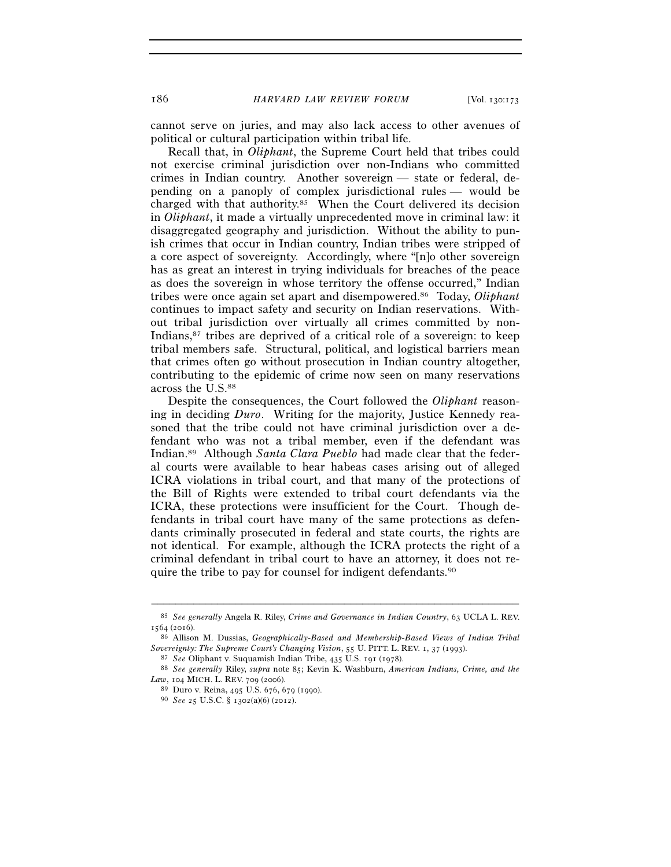cannot serve on juries, and may also lack access to other avenues of political or cultural participation within tribal life.

Recall that, in *Oliphant*, the Supreme Court held that tribes could not exercise criminal jurisdiction over non-Indians who committed crimes in Indian country. Another sovereign — state or federal, depending on a panoply of complex jurisdictional rules — would be charged with that authority.85 When the Court delivered its decision in *Oliphant*, it made a virtually unprecedented move in criminal law: it disaggregated geography and jurisdiction. Without the ability to punish crimes that occur in Indian country, Indian tribes were stripped of a core aspect of sovereignty. Accordingly, where "[n]o other sovereign has as great an interest in trying individuals for breaches of the peace as does the sovereign in whose territory the offense occurred," Indian tribes were once again set apart and disempowered.86 Today, *Oliphant* continues to impact safety and security on Indian reservations. Without tribal jurisdiction over virtually all crimes committed by non-Indians,<sup>87</sup> tribes are deprived of a critical role of a sovereign: to keep tribal members safe. Structural, political, and logistical barriers mean that crimes often go without prosecution in Indian country altogether, contributing to the epidemic of crime now seen on many reservations across the U.S.88

Despite the consequences, the Court followed the *Oliphant* reasoning in deciding *Duro*. Writing for the majority, Justice Kennedy reasoned that the tribe could not have criminal jurisdiction over a defendant who was not a tribal member, even if the defendant was Indian.89 Although *Santa Clara Pueblo* had made clear that the federal courts were available to hear habeas cases arising out of alleged ICRA violations in tribal court, and that many of the protections of the Bill of Rights were extended to tribal court defendants via the ICRA, these protections were insufficient for the Court. Though defendants in tribal court have many of the same protections as defendants criminally prosecuted in federal and state courts, the rights are not identical. For example, although the ICRA protects the right of a criminal defendant in tribal court to have an attorney, it does not require the tribe to pay for counsel for indigent defendants.90

<sup>–––––––––––––––––––––––––––––––––––––––––––––––––––––––––––––</sup> 85 *See generally* Angela R. Riley, *Crime and Governance in Indian Country*, 63 UCLA L. REV.

<sup>1564</sup> (2016). 86 Allison M. Dussias, *Geographically-Based and Membership-Based Views of Indian Tribal* 

<sup>&</sup>lt;sup>87</sup> See Oliphant v. Suquamish Indian Tribe, 435 U.S. 191 (1978).<br><sup>88</sup> See generally Riley, *supra* note 85; Kevin K. Washburn, *American Indians, Crime, and the Law*, 104 MICH. L. REV. 709 (2006).

*Law*, 104 MICH. L. REV. <sup>709</sup> (2006). 89 Duro v. Reina, 495 U.S. 676, 679 (1990). 90 *See* <sup>25</sup> U.S.C. § 1302(a)(6) (2012).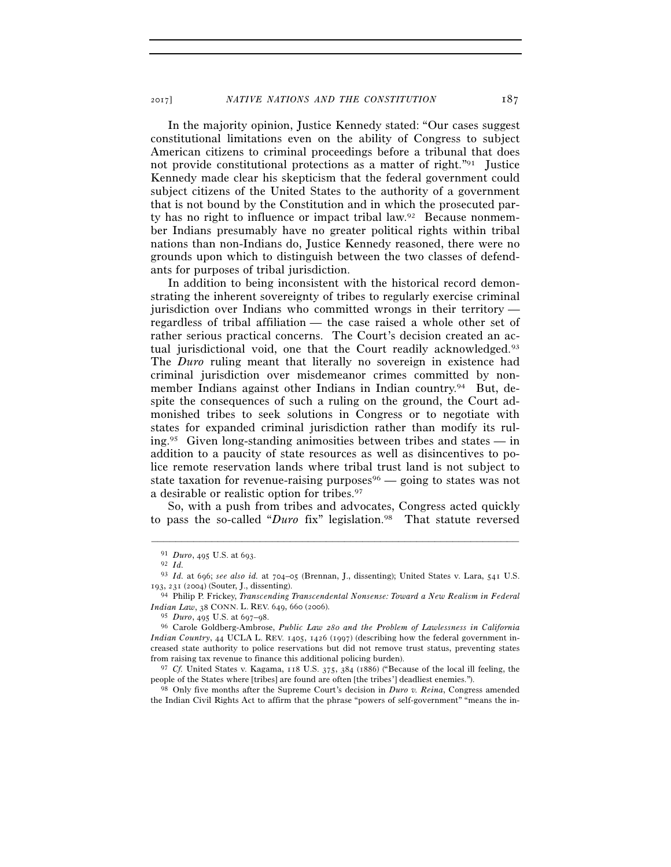In the majority opinion, Justice Kennedy stated: "Our cases suggest constitutional limitations even on the ability of Congress to subject American citizens to criminal proceedings before a tribunal that does not provide constitutional protections as a matter of right."91 Justice Kennedy made clear his skepticism that the federal government could subject citizens of the United States to the authority of a government that is not bound by the Constitution and in which the prosecuted party has no right to influence or impact tribal law.92 Because nonmember Indians presumably have no greater political rights within tribal nations than non-Indians do, Justice Kennedy reasoned, there were no grounds upon which to distinguish between the two classes of defendants for purposes of tribal jurisdiction.

In addition to being inconsistent with the historical record demonstrating the inherent sovereignty of tribes to regularly exercise criminal jurisdiction over Indians who committed wrongs in their territory regardless of tribal affiliation — the case raised a whole other set of rather serious practical concerns. The Court's decision created an actual jurisdictional void, one that the Court readily acknowledged.<sup>93</sup> The *Duro* ruling meant that literally no sovereign in existence had criminal jurisdiction over misdemeanor crimes committed by nonmember Indians against other Indians in Indian country.94 But, despite the consequences of such a ruling on the ground, the Court admonished tribes to seek solutions in Congress or to negotiate with states for expanded criminal jurisdiction rather than modify its ruling.95 Given long-standing animosities between tribes and states — in addition to a paucity of state resources as well as disincentives to police remote reservation lands where tribal trust land is not subject to state taxation for revenue-raising purposes  $\phi$  — going to states was not a desirable or realistic option for tribes.97

So, with a push from tribes and advocates, Congress acted quickly to pass the so-called "*Duro* fix" legislation.98 That statute reversed

–––––––––––––––––––––––––––––––––––––––––––––––––––––––––––––

<sup>98</sup> Only five months after the Supreme Court's decision in *Duro v. Reina*, Congress amended the Indian Civil Rights Act to affirm that the phrase "powers of self-government" "means the in-

<sup>91</sup> *Duro*, 495 U.S. at 693.<br><sup>92</sup> *Id.*<br><sup>93</sup> *Id.* at 696; *see also id.* at 704–05 (Brennan, J., dissenting); United States v. Lara, 541 U.S.<br>193, 231 (2004) (Souter, J., dissenting).

<sup>&</sup>lt;sup>94</sup> Philip P. Frickey, *Transcending Transcendental Nonsense: Toward a New Realism in Federal Indian Law*, 38 CONN. L. REV. 649, 660 (2006).

<sup>95</sup> *Duro*, 495 U.S. at 697–98. 96 Carole Goldberg-Ambrose, *Public Law 280 and the Problem of Lawlessness in California Indian Country*, 44 UCLA L. REV. 1405, 1426 (1997) (describing how the federal government increased state authority to police reservations but did not remove trust status, preventing states from raising tax revenue to finance this additional policing burden).

<sup>&</sup>lt;sup>97</sup> *Cf.* United States v. Kagama, 118 U.S. 375, 384 (1886) ("Because of the local ill feeling, the people of the States where [tribes] are found are often [the tribes'] deadliest enemies.").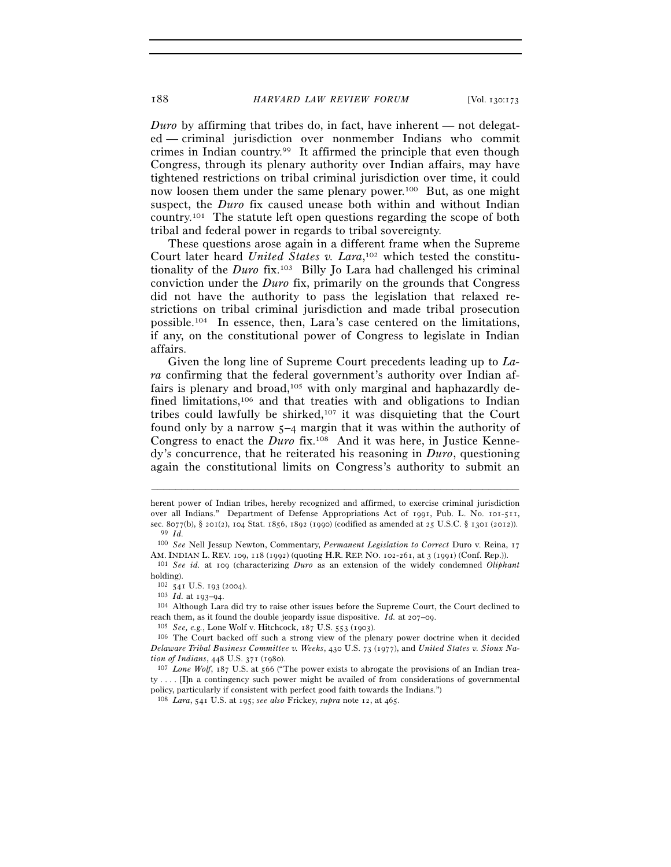*Duro* by affirming that tribes do, in fact, have inherent — not delegated — criminal jurisdiction over nonmember Indians who commit crimes in Indian country.99 It affirmed the principle that even though Congress, through its plenary authority over Indian affairs, may have tightened restrictions on tribal criminal jurisdiction over time, it could now loosen them under the same plenary power.100 But, as one might suspect, the *Duro* fix caused unease both within and without Indian country.101 The statute left open questions regarding the scope of both tribal and federal power in regards to tribal sovereignty.

These questions arose again in a different frame when the Supreme Court later heard *United States v. Lara*, 102 which tested the constitutionality of the *Duro* fix.103 Billy Jo Lara had challenged his criminal conviction under the *Duro* fix, primarily on the grounds that Congress did not have the authority to pass the legislation that relaxed restrictions on tribal criminal jurisdiction and made tribal prosecution possible.104 In essence, then, Lara's case centered on the limitations, if any, on the constitutional power of Congress to legislate in Indian affairs.

Given the long line of Supreme Court precedents leading up to *Lara* confirming that the federal government's authority over Indian affairs is plenary and broad,<sup>105</sup> with only marginal and haphazardly defined limitations,<sup>106</sup> and that treaties with and obligations to Indian tribes could lawfully be shirked,107 it was disquieting that the Court found only by a narrow 5–4 margin that it was within the authority of Congress to enact the *Duro* fix.108 And it was here, in Justice Kennedy's concurrence, that he reiterated his reasoning in *Duro*, questioning again the constitutional limits on Congress's authority to submit an

–––––––––––––––––––––––––––––––––––––––––––––––––––––––––––––

<sup>101</sup> See id. at 109 (characterizing *Duro* as an extension of the widely condemned *Oliphant* holding).

herent power of Indian tribes, hereby recognized and affirmed, to exercise criminal jurisdiction over all Indians." Department of Defense Appropriations Act of 1991, Pub. L. No. 101-511, sec. 8077(b), § 201(2), 104 Stat. 1856, 1892 (1990) (codified as amended at 25 U.S.C. § 1301 (2012)). 99 *Id.*

<sup>100</sup> *See* Nell Jessup Newton, Commentary, *Permanent Legislation to Correct* Duro v. Reina, 17

<sup>102</sup> <sup>541</sup> U.S. 193 (2004). 103 *Id.* at 193–94. 104 Although Lara did try to raise other issues before the Supreme Court, the Court declined to reach them, as it found the double jeopardy issue dispositive. *Id.* at 207–09.<br><sup>105</sup> *See, e.g.*, Lone Wolf v. Hitchcock, 187 U.S. 553 (1903).<br><sup>106</sup> The Court backed off such a strong view of the plenary power doctrine w

*Delaware Tribal Business Committee v. Weeks*, 430 U.S. 73 (1977), and *United States v. Sioux Nation of Indians*, 448 U.S. 371 (1980).<br><sup>107</sup> *Lone Wolf*, 187 U.S. at 566 ("The power exists to abrogate the provisions of an Indian trea-

 $tv \ldots$ . [I]n a contingency such power might be availed of from considerations of governmental policy, particularly if consistent with perfect good faith towards the Indians.") 108 *Lara*, 541 U.S. at 195; *see also* Frickey, *supra* note 12, at 465.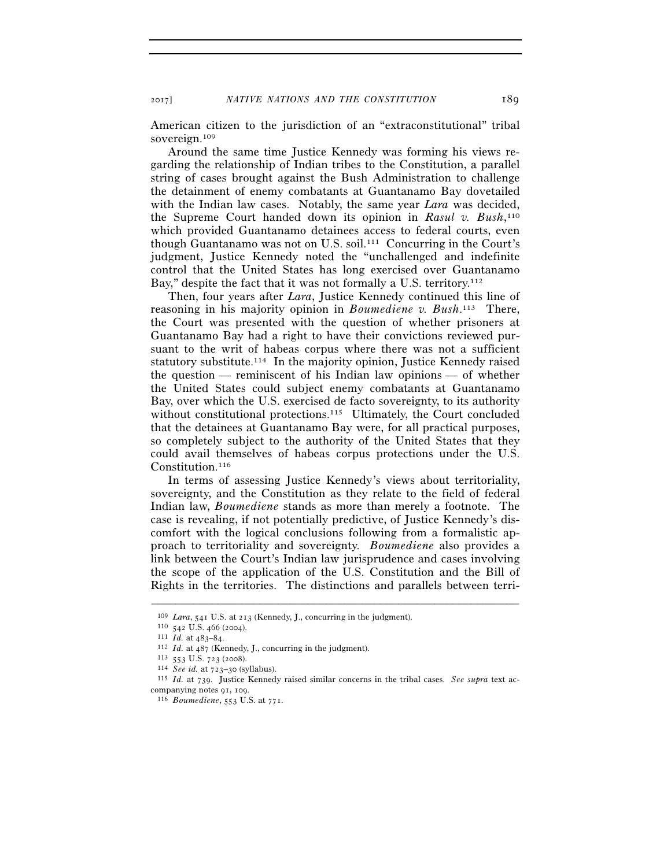2017] *NATIVE NATIONS AND THE CONSTITUTION* 189

American citizen to the jurisdiction of an "extraconstitutional" tribal sovereign.109

Around the same time Justice Kennedy was forming his views regarding the relationship of Indian tribes to the Constitution, a parallel string of cases brought against the Bush Administration to challenge the detainment of enemy combatants at Guantanamo Bay dovetailed with the Indian law cases. Notably, the same year *Lara* was decided, the Supreme Court handed down its opinion in *Rasul v. Bush*, 110 which provided Guantanamo detainees access to federal courts, even though Guantanamo was not on U.S. soil.111 Concurring in the Court's judgment, Justice Kennedy noted the "unchallenged and indefinite control that the United States has long exercised over Guantanamo Bay," despite the fact that it was not formally a U.S. territory.<sup>112</sup>

Then, four years after *Lara*, Justice Kennedy continued this line of reasoning in his majority opinion in *Boumediene v. Bush*. 113 There, the Court was presented with the question of whether prisoners at Guantanamo Bay had a right to have their convictions reviewed pursuant to the writ of habeas corpus where there was not a sufficient statutory substitute.<sup>114</sup> In the majority opinion, Justice Kennedy raised the question — reminiscent of his Indian law opinions — of whether the United States could subject enemy combatants at Guantanamo Bay, over which the U.S. exercised de facto sovereignty, to its authority without constitutional protections.<sup>115</sup> Ultimately, the Court concluded that the detainees at Guantanamo Bay were, for all practical purposes, so completely subject to the authority of the United States that they could avail themselves of habeas corpus protections under the U.S. Constitution.<sup>116</sup>

In terms of assessing Justice Kennedy's views about territoriality, sovereignty, and the Constitution as they relate to the field of federal Indian law, *Boumediene* stands as more than merely a footnote. The case is revealing, if not potentially predictive, of Justice Kennedy's discomfort with the logical conclusions following from a formalistic approach to territoriality and sovereignty. *Boumediene* also provides a link between the Court's Indian law jurisprudence and cases involving the scope of the application of the U.S. Constitution and the Bill of Rights in the territories. The distinctions and parallels between terri-

<sup>&</sup>lt;sup>109</sup> *Lara*, 541 U.S. at 213 (Kennedy, J., concurring in the judgment).<br>
<sup>110</sup> 542 U.S. 466 (2004).<br>
<sup>111</sup> *Id.* at 483–84.<br>
<sup>112</sup> *Id.* at 487 (Kennedy, J., concurring in the judgment).<br>
<sup>113</sup> 553 U.S. 723 (2008).<br>
<sup>114</sup> companying notes 91, 109. 116 *Boumediene*, 553 U.S. at 771.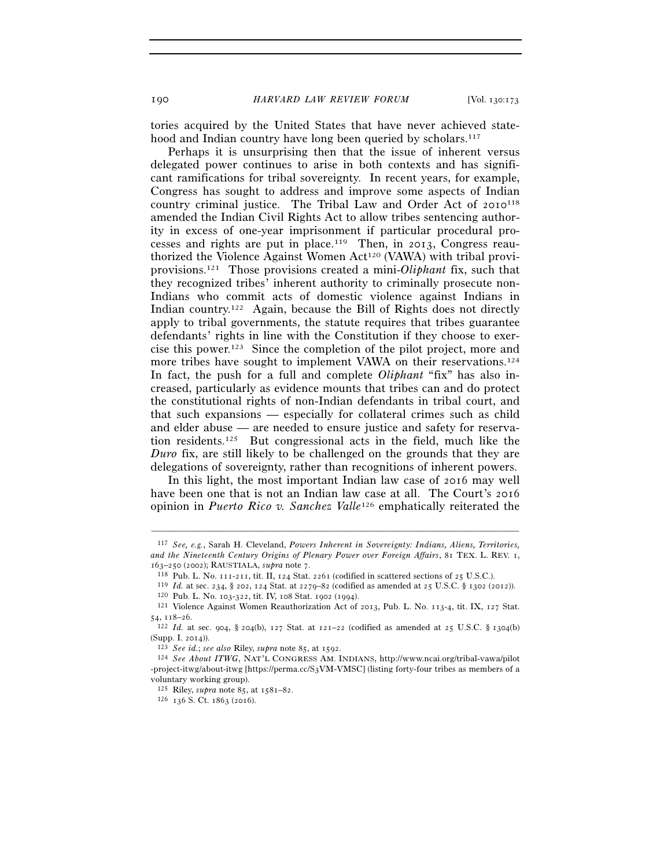190 *HARVARD LAW REVIEW FORUM* [Vol. 130:173

tories acquired by the United States that have never achieved statehood and Indian country have long been queried by scholars.<sup>117</sup>

Perhaps it is unsurprising then that the issue of inherent versus delegated power continues to arise in both contexts and has significant ramifications for tribal sovereignty. In recent years, for example, Congress has sought to address and improve some aspects of Indian country criminal justice. The Tribal Law and Order Act of 2010<sup>118</sup> amended the Indian Civil Rights Act to allow tribes sentencing authority in excess of one-year imprisonment if particular procedural processes and rights are put in place.<sup>119</sup> Then, in 2013, Congress reauthorized the Violence Against Women Act<sup>120</sup> (VAWA) with tribal proviprovisions.121 Those provisions created a mini-*Oliphant* fix, such that they recognized tribes' inherent authority to criminally prosecute non-Indians who commit acts of domestic violence against Indians in Indian country.<sup>122</sup> Again, because the Bill of Rights does not directly apply to tribal governments, the statute requires that tribes guarantee defendants' rights in line with the Constitution if they choose to exercise this power.123 Since the completion of the pilot project, more and more tribes have sought to implement VAWA on their reservations.<sup>124</sup> In fact, the push for a full and complete *Oliphant* "fix" has also increased, particularly as evidence mounts that tribes can and do protect the constitutional rights of non-Indian defendants in tribal court, and that such expansions — especially for collateral crimes such as child and elder abuse — are needed to ensure justice and safety for reservation residents.125 But congressional acts in the field, much like the *Duro* fix, are still likely to be challenged on the grounds that they are delegations of sovereignty, rather than recognitions of inherent powers.

In this light, the most important Indian law case of 2016 may well have been one that is not an Indian law case at all. The Court's 2016 opinion in *Puerto Rico v. Sanchez Valle*126 emphatically reiterated the

<sup>117</sup> *See, e.g.*, Sarah H. Cleveland, *Powers Inherent in Sovereignty: Indians, Aliens, Territories, and the Nineteenth Century Origins of Plenary Power over Foreign Affairs*, 81 TEX. L. REV. 1,

<sup>163–250 (2002);</sup> RAUSTIALA, *supra* note 7.<br>
<sup>118</sup> Pub. L. No. 111-211, tit. II, 124 Stat. 2261 (codified in scattered sections of 25 U.S.C.).<br>
<sup>119</sup> *Id.* at sec. 234, § 202, 124 Stat. at 2279–82 (codified as amended at 2

<sup>54, 118</sup>–26. 122 *Id.* at sec. 904, § 204(b), 127 Stat. at 121–22 (codified as amended at 25 U.S.C. § 1304(b)

<sup>(</sup>Supp. I. 2014)). 123 *See id.*; *see also* Riley, *supra* note 85, at 1592. 124 *See About ITWG*, NAT'L CONGRESS AM. INDIANS, http://www.ncai.org/tribal-vawa/pilot

<sup>-</sup>project-itwg/about-itwg [https://perma.cc/S3VM-VMSC] (listing forty-four tribes as members of a voluntary working group).

<sup>125</sup> Riley, *supra* note 85, at 1581–82. 126 <sup>136</sup> S. Ct. 1863 (2016).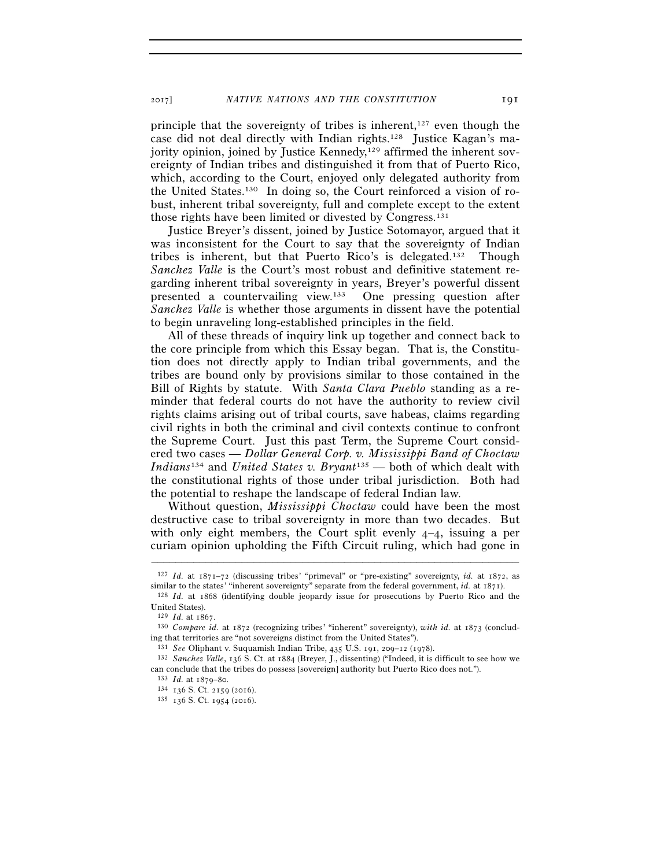principle that the sovereignty of tribes is inherent, $127$  even though the case did not deal directly with Indian rights.128 Justice Kagan's majority opinion, joined by Justice Kennedy,<sup>129</sup> affirmed the inherent sovereignty of Indian tribes and distinguished it from that of Puerto Rico, which, according to the Court, enjoyed only delegated authority from the United States.130 In doing so, the Court reinforced a vision of robust, inherent tribal sovereignty, full and complete except to the extent those rights have been limited or divested by Congress.131

Justice Breyer's dissent, joined by Justice Sotomayor, argued that it was inconsistent for the Court to say that the sovereignty of Indian tribes is inherent, but that Puerto Rico's is delegated.132 Though *Sanchez Valle* is the Court's most robust and definitive statement regarding inherent tribal sovereignty in years, Breyer's powerful dissent presented a countervailing view.133 One pressing question after *Sanchez Valle* is whether those arguments in dissent have the potential to begin unraveling long-established principles in the field.

All of these threads of inquiry link up together and connect back to the core principle from which this Essay began. That is, the Constitution does not directly apply to Indian tribal governments, and the tribes are bound only by provisions similar to those contained in the Bill of Rights by statute. With *Santa Clara Pueblo* standing as a reminder that federal courts do not have the authority to review civil rights claims arising out of tribal courts, save habeas, claims regarding civil rights in both the criminal and civil contexts continue to confront the Supreme Court. Just this past Term, the Supreme Court considered two cases — *Dollar General Corp. v. Mississippi Band of Choctaw Indians*134 and *United States v. Bryant*135 — both of which dealt with the constitutional rights of those under tribal jurisdiction. Both had the potential to reshape the landscape of federal Indian law.

Without question, *Mississippi Choctaw* could have been the most destructive case to tribal sovereignty in more than two decades. But with only eight members, the Court split evenly 4–4, issuing a per curiam opinion upholding the Fifth Circuit ruling, which had gone in

<sup>–––––––––––––––––––––––––––––––––––––––––––––––––––––––––––––</sup> 127 *Id.* at 1871–72 (discussing tribes' "primeval" or "pre-existing" sovereignty, *id.* at 1872, as similar to the states' "inherent sovereignty" separate from the federal government, *id.* at 1871). 128 *Id.* at 1868 (identifying double jeopardy issue for prosecutions by Puerto Rico and the

United States).<br> $129$  *Id.* at  $1867$ 

<sup>129</sup> *Id.* at 1867. 130 *Compare id.* at 1872 (recognizing tribes' "inherent" sovereignty), *with id.* at 1873 (concluding that territories are "not sovereigns distinct from the United States").<br><sup>131</sup> *See* Oliphant v. Suquamish Indian Tribe, 435 U.S. 191, 209–12 (1978).

<sup>&</sup>lt;sup>132</sup> *Sanchez Valle*, 136 S. Ct. at 1884 (Breyer, J., dissenting) ("Indeed, it is difficult to see how we can conclude that the tribes do possess [sovereign] authority but Puerto Rico does not.").  $133$  *Id.* at 1879–80. <br> $134$  136 S. Ct. 2159 (2016).  $135$  136 S. Ct. 1954 (2016).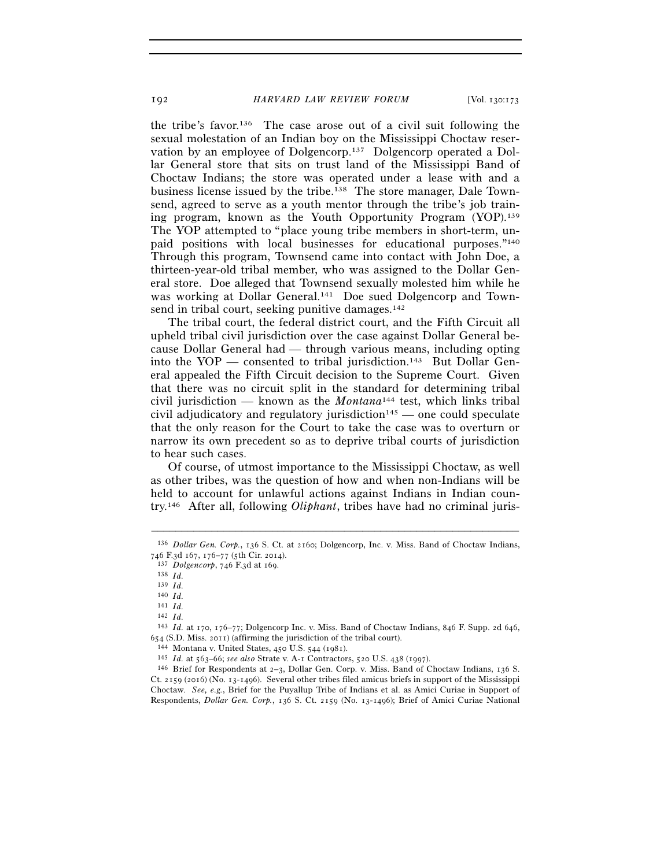the tribe's favor.136 The case arose out of a civil suit following the sexual molestation of an Indian boy on the Mississippi Choctaw reservation by an employee of Dolgencorp.137 Dolgencorp operated a Dollar General store that sits on trust land of the Mississippi Band of Choctaw Indians; the store was operated under a lease with and a business license issued by the tribe.138 The store manager, Dale Townsend, agreed to serve as a youth mentor through the tribe's job training program, known as the Youth Opportunity Program (YOP).139 The YOP attempted to "place young tribe members in short-term, unpaid positions with local businesses for educational purposes."140 Through this program, Townsend came into contact with John Doe, a thirteen-year-old tribal member, who was assigned to the Dollar General store. Doe alleged that Townsend sexually molested him while he was working at Dollar General.<sup>141</sup> Doe sued Dolgencorp and Townsend in tribal court, seeking punitive damages. $142$ 

The tribal court, the federal district court, and the Fifth Circuit all upheld tribal civil jurisdiction over the case against Dollar General because Dollar General had — through various means, including opting into the  $YOP$  — consented to tribal jurisdiction.<sup>143</sup> But Dollar General appealed the Fifth Circuit decision to the Supreme Court. Given that there was no circuit split in the standard for determining tribal civil jurisdiction — known as the *Montana*144 test, which links tribal civil adjudicatory and regulatory jurisdiction<sup>145</sup> — one could speculate that the only reason for the Court to take the case was to overturn or narrow its own precedent so as to deprive tribal courts of jurisdiction to hear such cases.

Of course, of utmost importance to the Mississippi Choctaw, as well as other tribes, was the question of how and when non-Indians will be held to account for unlawful actions against Indians in Indian country.146 After all, following *Oliphant*, tribes have had no criminal juris-

<sup>–––––––––––––––––––––––––––––––––––––––––––––––––––––––––––––</sup> 136 *Dollar Gen. Corp.*, 136 S. Ct. at 2160; Dolgencorp, Inc. v. Miss. Band of Choctaw Indians, <sup>746</sup> F.3d 167, 176–77 (5th Cir. 2014). 137 *Dolgencorp*, 746 F.3d at 169. 138 *Id.*

<sup>139</sup> *Id.*

<sup>140</sup> *Id.*

 $\begin{array}{cc} 141 & Id. \\ 142 & Id. \end{array}$ 

<sup>142</sup> *Id.* 143 *Id.* at 170, 176–77; Dolgencorp Inc. v. Miss. Band of Choctaw Indians, 846 F. Supp. 2d 646,  $654$  (S.D. Miss. 2011) (affirming the jurisdiction of the tribal court).<br>  $^{144}$  Montana v. United States, 450 U.S. 544 (1981).<br>  $^{145}$  *Id.* at 563–66; *see also* Strate v. A-1 Contractors, 520 U.S. 438 (1997).<br>  $^{145$ 

Ct. 2159 (2016) (No. 13-1496). Several other tribes filed amicus briefs in support of the Mississippi Choctaw. *See, e.g.*, Brief for the Puyallup Tribe of Indians et al. as Amici Curiae in Support of Respondents, *Dollar Gen. Corp.*, 136 S. Ct. 2159 (No. 13-1496); Brief of Amici Curiae National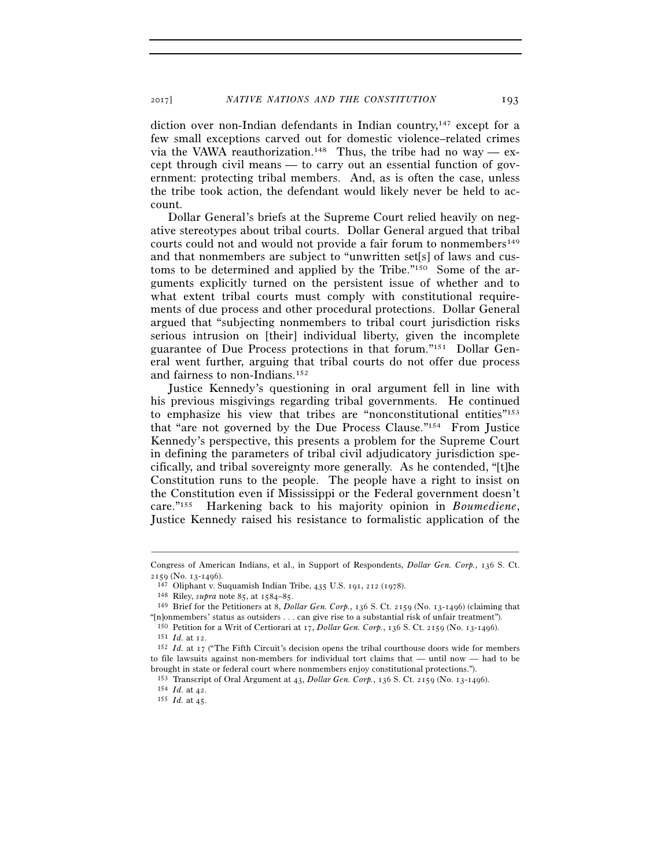diction over non-Indian defendants in Indian country,<sup>147</sup> except for a few small exceptions carved out for domestic violence–related crimes via the VAWA reauthorization.<sup>148</sup> Thus, the tribe had no way — except through civil means — to carry out an essential function of government: protecting tribal members. And, as is often the case, unless the tribe took action, the defendant would likely never be held to account.

Dollar General's briefs at the Supreme Court relied heavily on negative stereotypes about tribal courts. Dollar General argued that tribal courts could not and would not provide a fair forum to nonmembers<sup>149</sup> and that nonmembers are subject to "unwritten set[s] of laws and customs to be determined and applied by the Tribe."150 Some of the arguments explicitly turned on the persistent issue of whether and to what extent tribal courts must comply with constitutional requirements of due process and other procedural protections. Dollar General argued that "subjecting nonmembers to tribal court jurisdiction risks serious intrusion on [their] individual liberty, given the incomplete guarantee of Due Process protections in that forum."151 Dollar General went further, arguing that tribal courts do not offer due process and fairness to non-Indians.152

Justice Kennedy's questioning in oral argument fell in line with his previous misgivings regarding tribal governments. He continued to emphasize his view that tribes are "nonconstitutional entities"153 that "are not governed by the Due Process Clause."154 From Justice Kennedy's perspective, this presents a problem for the Supreme Court in defining the parameters of tribal civil adjudicatory jurisdiction specifically, and tribal sovereignty more generally. As he contended, "[t]he Constitution runs to the people. The people have a right to insist on the Constitution even if Mississippi or the Federal government doesn't care."155 Harkening back to his majority opinion in *Boumediene*, Justice Kennedy raised his resistance to formalistic application of the

<sup>–––––––––––––––––––––––––––––––––––––––––––––––––––––––––––––</sup> Congress of American Indians, et al., in Support of Respondents, *Dollar Gen. Corp.*, 136 S. Ct. 2159 (No. 13-1496).<br><sup>147</sup> Oliphant v. Suquamish Indian Tribe, 435 U.S. 191, 212 (1978).<br><sup>148</sup> Riley, *supra* note 85, at 1584–85.<br><sup>149</sup> Brief for the Petitioners at 8, *Dollar Gen. Corp.*, 136 S. Ct. 2159 (No. 13-1496) (c

<sup>&</sup>quot;[n]onmembers' status as outsiders . . . can give rise to a substantial risk of unfair treatment").

<sup>&</sup>lt;sup>150</sup> Petition for a Writ of Certiorari at 17, *Dollar Gen. Corp.*, 136 S. Ct. 2159 (No. 13-1496).<br><sup>151</sup> *Id.* at 12.<br><sup>152</sup> *Id.* at 17 ("The Fifth Circuit's decision opens the tribal courthouse doors wide for members

to file lawsuits against non-members for individual tort claims that — until now — had to be

brought in state or federal court where nonmembers enjoy constitutional protections.").<br><sup>153</sup> Transcript of Oral Argument at 43, *Dollar Gen. Corp.*, 136 S. Ct. 2159 (No. 13-1496).<br><sup>154</sup> *Id.* at 42.<br><sup>155</sup> *Id.* at 45.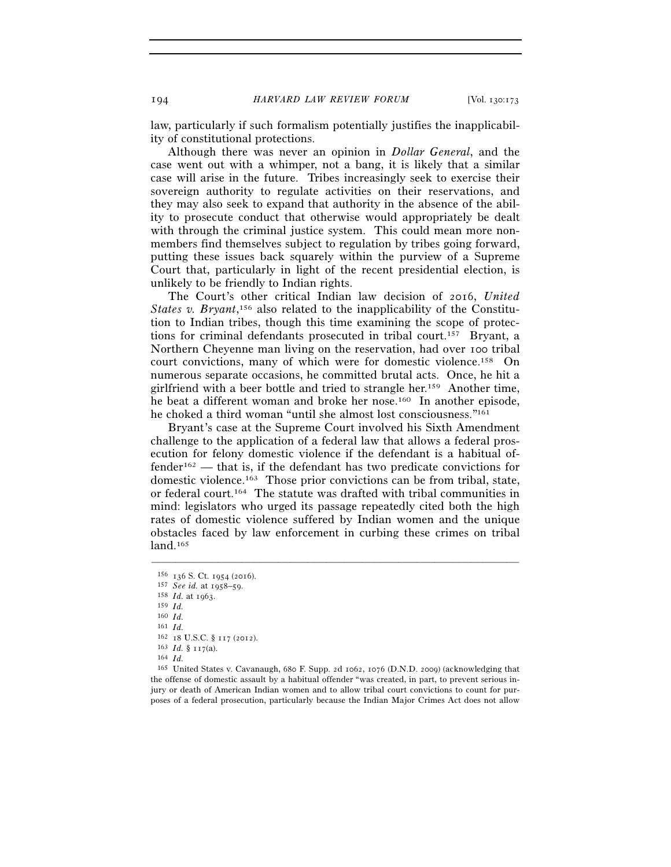law, particularly if such formalism potentially justifies the inapplicability of constitutional protections.

Although there was never an opinion in *Dollar General*, and the case went out with a whimper, not a bang, it is likely that a similar case will arise in the future. Tribes increasingly seek to exercise their sovereign authority to regulate activities on their reservations, and they may also seek to expand that authority in the absence of the ability to prosecute conduct that otherwise would appropriately be dealt with through the criminal justice system. This could mean more nonmembers find themselves subject to regulation by tribes going forward, putting these issues back squarely within the purview of a Supreme Court that, particularly in light of the recent presidential election, is unlikely to be friendly to Indian rights.

The Court's other critical Indian law decision of 2016, *United*  States v. Bryant,<sup>156</sup> also related to the inapplicability of the Constitution to Indian tribes, though this time examining the scope of protections for criminal defendants prosecuted in tribal court.157 Bryant, a Northern Cheyenne man living on the reservation, had over 100 tribal court convictions, many of which were for domestic violence.158 On numerous separate occasions, he committed brutal acts. Once, he hit a girlfriend with a beer bottle and tried to strangle her.159 Another time, he beat a different woman and broke her nose.<sup>160</sup> In another episode, he choked a third woman "until she almost lost consciousness."161

Bryant's case at the Supreme Court involved his Sixth Amendment challenge to the application of a federal law that allows a federal prosecution for felony domestic violence if the defendant is a habitual offender162 — that is, if the defendant has two predicate convictions for domestic violence.163 Those prior convictions can be from tribal, state, or federal court.164 The statute was drafted with tribal communities in mind: legislators who urged its passage repeatedly cited both the high rates of domestic violence suffered by Indian women and the unique obstacles faced by law enforcement in curbing these crimes on tribal  $land<sup>165</sup>$ 

<sup>156</sup> <sup>136</sup> S. Ct. 1954 (2016). 157 *See id.* at 1958–59. 158 *Id.* at 1963. 159 *Id.*

<sup>160</sup> *Id.*

<sup>161</sup> *Id.*

<sup>162</sup> <sup>18</sup> U.S.C. § 117 (2012). 163 *Id.* § 117(a). 164 *Id.*

<sup>165</sup> United States v. Cavanaugh, 680 F. Supp. 2d 1062, 1076 (D.N.D. 2009) (acknowledging that the offense of domestic assault by a habitual offender "was created, in part, to prevent serious injury or death of American Indian women and to allow tribal court convictions to count for purposes of a federal prosecution, particularly because the Indian Major Crimes Act does not allow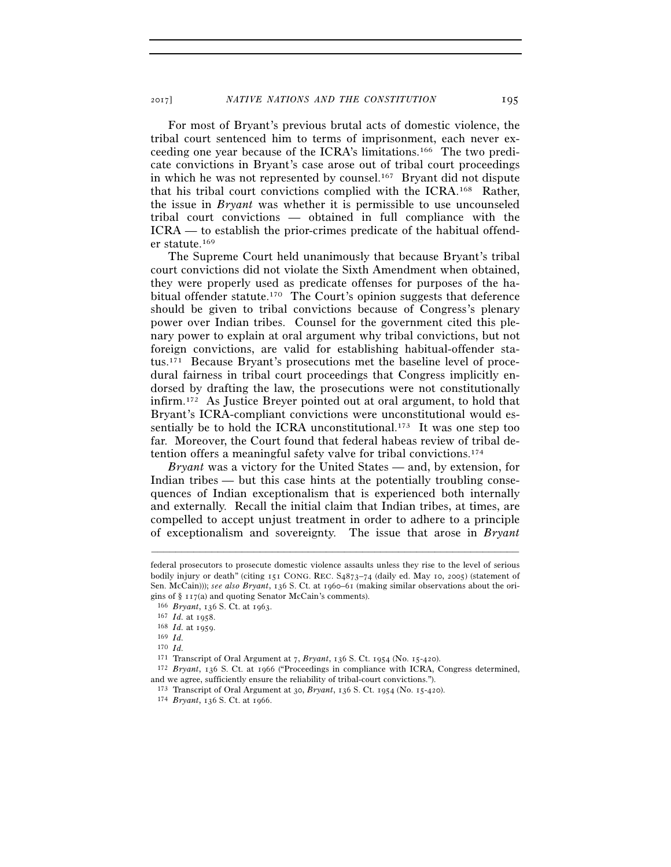For most of Bryant's previous brutal acts of domestic violence, the tribal court sentenced him to terms of imprisonment, each never exceeding one year because of the ICRA's limitations.166 The two predicate convictions in Bryant's case arose out of tribal court proceedings in which he was not represented by counsel.167 Bryant did not dispute that his tribal court convictions complied with the ICRA.168 Rather, the issue in *Bryant* was whether it is permissible to use uncounseled tribal court convictions — obtained in full compliance with the ICRA — to establish the prior-crimes predicate of the habitual offender statute.169

The Supreme Court held unanimously that because Bryant's tribal court convictions did not violate the Sixth Amendment when obtained, they were properly used as predicate offenses for purposes of the habitual offender statute.170 The Court's opinion suggests that deference should be given to tribal convictions because of Congress's plenary power over Indian tribes. Counsel for the government cited this plenary power to explain at oral argument why tribal convictions, but not foreign convictions, are valid for establishing habitual-offender status.171 Because Bryant's prosecutions met the baseline level of procedural fairness in tribal court proceedings that Congress implicitly endorsed by drafting the law, the prosecutions were not constitutionally infirm.172 As Justice Breyer pointed out at oral argument, to hold that Bryant's ICRA-compliant convictions were unconstitutional would essentially be to hold the ICRA unconstitutional.<sup>173</sup> It was one step too far. Moreover, the Court found that federal habeas review of tribal detention offers a meaningful safety valve for tribal convictions.174

*Bryant* was a victory for the United States — and, by extension, for Indian tribes — but this case hints at the potentially troubling consequences of Indian exceptionalism that is experienced both internally and externally. Recall the initial claim that Indian tribes, at times, are compelled to accept unjust treatment in order to adhere to a principle of exceptionalism and sovereignty. The issue that arose in *Bryant*

federal prosecutors to prosecute domestic violence assaults unless they rise to the level of serious bodily injury or death" (citing 151 CONG. REC. S4873–74 (daily ed. May 10, 2005) (statement of Sen. McCain))); *see also Bryant*, 136 S. Ct. at 1960–61 (making similar observations about the origins of § 117(a) and quoting Senator McCain's comments).<br>
<sup>166</sup> *Bryant*, 136 S. Ct. at 1963.<br>
<sup>167</sup> *Id.* at 1958.<br>
<sup>168</sup> *Id.* at 1959.<br>
<sup>169</sup> *Id.* 

<sup>170</sup> *Id.*

<sup>171</sup> Transcript of Oral Argument at 7, *Bryant*, 136 S. Ct. 1954 (No. 15-420). 172 *Bryant*, 136 S. Ct. at 1966 ("Proceedings in compliance with ICRA, Congress determined, and we agree, sufficiently ensure the reliability of tribal-court convictions.").

<sup>173</sup> Transcript of Oral Argument at 30, *Bryant*, 136 S. Ct. 1954 (No. 15-420). 174 *Bryant*, 136 S. Ct. at 1966.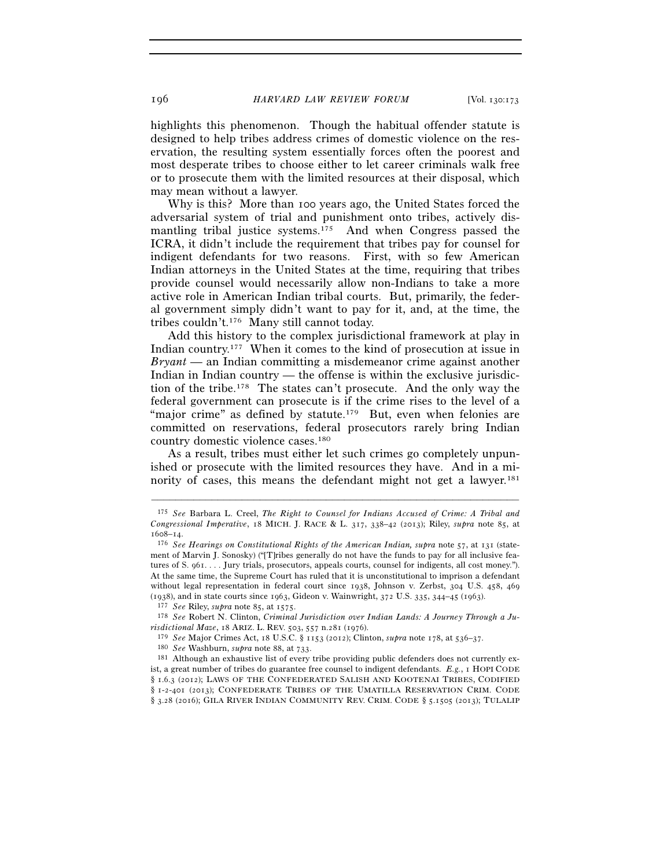highlights this phenomenon. Though the habitual offender statute is designed to help tribes address crimes of domestic violence on the reservation, the resulting system essentially forces often the poorest and most desperate tribes to choose either to let career criminals walk free or to prosecute them with the limited resources at their disposal, which may mean without a lawyer.

Why is this? More than 100 years ago, the United States forced the adversarial system of trial and punishment onto tribes, actively dismantling tribal justice systems.<sup>175</sup> And when Congress passed the ICRA, it didn't include the requirement that tribes pay for counsel for indigent defendants for two reasons. First, with so few American Indian attorneys in the United States at the time, requiring that tribes provide counsel would necessarily allow non-Indians to take a more active role in American Indian tribal courts. But, primarily, the federal government simply didn't want to pay for it, and, at the time, the tribes couldn't.176 Many still cannot today.

Add this history to the complex jurisdictional framework at play in Indian country.177 When it comes to the kind of prosecution at issue in *Bryant* — an Indian committing a misdemeanor crime against another Indian in Indian country — the offense is within the exclusive jurisdiction of the tribe.178 The states can't prosecute. And the only way the federal government can prosecute is if the crime rises to the level of a "major crime" as defined by statute.<sup>179</sup> But, even when felonies are committed on reservations, federal prosecutors rarely bring Indian country domestic violence cases.180

As a result, tribes must either let such crimes go completely unpunished or prosecute with the limited resources they have. And in a minority of cases, this means the defendant might not get a lawyer.<sup>181</sup>

<sup>175</sup> *See* Barbara L. Creel, *The Right to Counsel for Indians Accused of Crime: A Tribal and Congressional Imperative*, 18 MICH. J. RACE & L. 317, 338–42 (2013); Riley, *supra* note 85, at <sup>1608</sup>–14. 176 *See Hearings on Constitutional Rights of the American Indian, supra* note 57, at 131 (state-

ment of Marvin J. Sonosky) ("[T]ribes generally do not have the funds to pay for all inclusive features of S. 961. . . . Jury trials, prosecutors, appeals courts, counsel for indigents, all cost money."). At the same time, the Supreme Court has ruled that it is unconstitutional to imprison a defendant without legal representation in federal court since 1938, Johnson v. Zerbst, 304 U.S. 458, 469 (1938), and in state courts since 1963, Gideon v. Wainwright, 372 U.S. 335, 344-45 (1963).<br><sup>177</sup> See Riley, supra note 85, at 1575.<br><sup>178</sup> See Robert N. Clinton, Criminal Jurisdiction over Indian Lands: A Journey Through a

*risdictional Maze*, 18 ARIZ. L. REV. 503, 557 n.281 (1976).

<sup>&</sup>lt;sup>179</sup> See Major Crimes Act, 18 U.S.C. § 1153 (2012); Clinton, *supra* note 178, at 536–37.<br><sup>180</sup> See Washburn, *supra* note 88, at 733.<br><sup>181</sup> Although an exhaustive list of every tribe providing public defenders does not

ist, a great number of tribes do guarantee free counsel to indigent defendants. *E.g.*, 1 HOPI CODE § 1.6.3 (2012); LAWS OF THE CONFEDERATED SALISH AND KOOTENAI TRIBES, CODIFIED § 1-2-401 (2013); CONFEDERATE TRIBES OF THE UMATILLA RESERVATION CRIM. CODE § 3.28 (2016); GILA RIVER INDIAN COMMUNITY REV. CRIM. CODE § 5.1505 (2013); TULALIP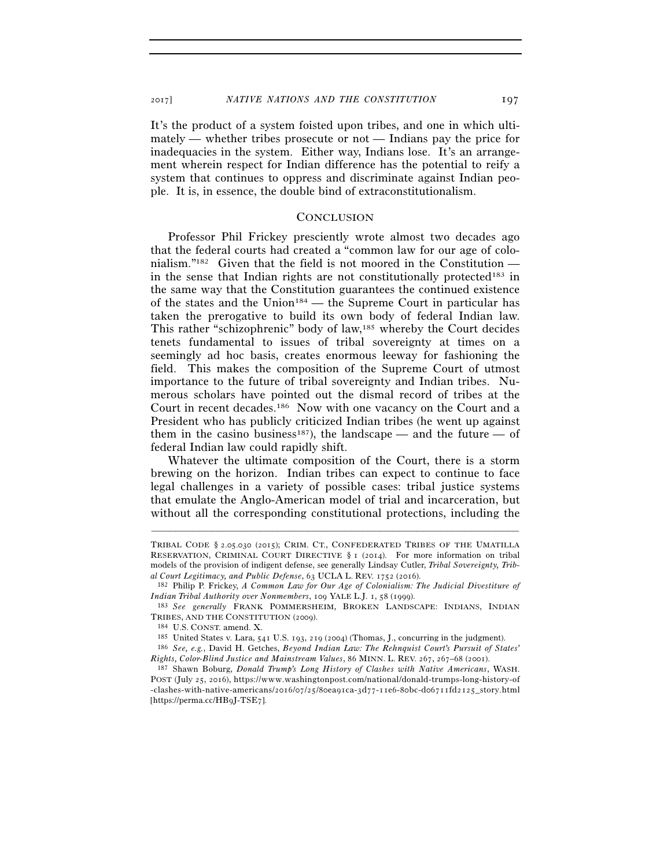It's the product of a system foisted upon tribes, and one in which ultimately — whether tribes prosecute or not — Indians pay the price for inadequacies in the system. Either way, Indians lose. It's an arrangement wherein respect for Indian difference has the potential to reify a system that continues to oppress and discriminate against Indian people. It is, in essence, the double bind of extraconstitutionalism.

#### **CONCLUSION**

Professor Phil Frickey presciently wrote almost two decades ago that the federal courts had created a "common law for our age of colonialism."182 Given that the field is not moored in the Constitution in the sense that Indian rights are not constitutionally protected<sup>183</sup> in the same way that the Constitution guarantees the continued existence of the states and the Union<sup>184</sup> — the Supreme Court in particular has taken the prerogative to build its own body of federal Indian law. This rather "schizophrenic" body of law,185 whereby the Court decides tenets fundamental to issues of tribal sovereignty at times on a seemingly ad hoc basis, creates enormous leeway for fashioning the field. This makes the composition of the Supreme Court of utmost importance to the future of tribal sovereignty and Indian tribes. Numerous scholars have pointed out the dismal record of tribes at the Court in recent decades.186 Now with one vacancy on the Court and a President who has publicly criticized Indian tribes (he went up against them in the casino business<sup>187</sup>), the landscape — and the future — of federal Indian law could rapidly shift.

Whatever the ultimate composition of the Court, there is a storm brewing on the horizon. Indian tribes can expect to continue to face legal challenges in a variety of possible cases: tribal justice systems that emulate the Anglo-American model of trial and incarceration, but without all the corresponding constitutional protections, including the

TRIBAL CODE § 2.05.030 (2015); CRIM. CT., CONFEDERATED TRIBES OF THE UMATILLA RESERVATION, CRIMINAL COURT DIRECTIVE § 1 (2014). For more information on tribal models of the provision of indigent defense, see generally Lindsay Cutler, *Tribal Sovereignty, Tribal Court Legitimacy, and Public Defense*, 63 UCLA L. REV. 1752 (2016). 182 Philip P. Frickey, *A Common Law for Our Age of Colonialism: The Judicial Divestiture of* 

*Indian Tribal Authority over Nonmembers*, 109 YALE L.J. 1, 58 (1999). 183 *See generally* FRANK POMMERSHEIM, BROKEN LANDSCAPE: INDIANS, INDIAN

TRIBES, AND THE CONSTITUTION (2009).<br><sup>184</sup> U.S. CONST. amend. X.<br><sup>185</sup> United States v. Lara, 541 U.S. 193, 219 (2004) (Thomas, J., concurring in the judgment).<br><sup>186</sup> *See, e.g.*, David H. Getches, *Beyond Indian Law: The* 

*Rights, Color-Blind Justice and Mainstream Values*, 86 MINN. L. REV. 267, 267–68 (2001). 187 Shawn Boburg, *Donald Trump's Long History of Clashes with Native Americans*, WASH.

POST (July 25, 2016), https://www.washingtonpost.com/national/donald-trumps-long-history-of -clashes-with-native-americans/2016/07/25/80ea91ca-3d77-11e6-80bc-d06711fd2125\_story.html [https://perma.cc/HB9J-TSE7].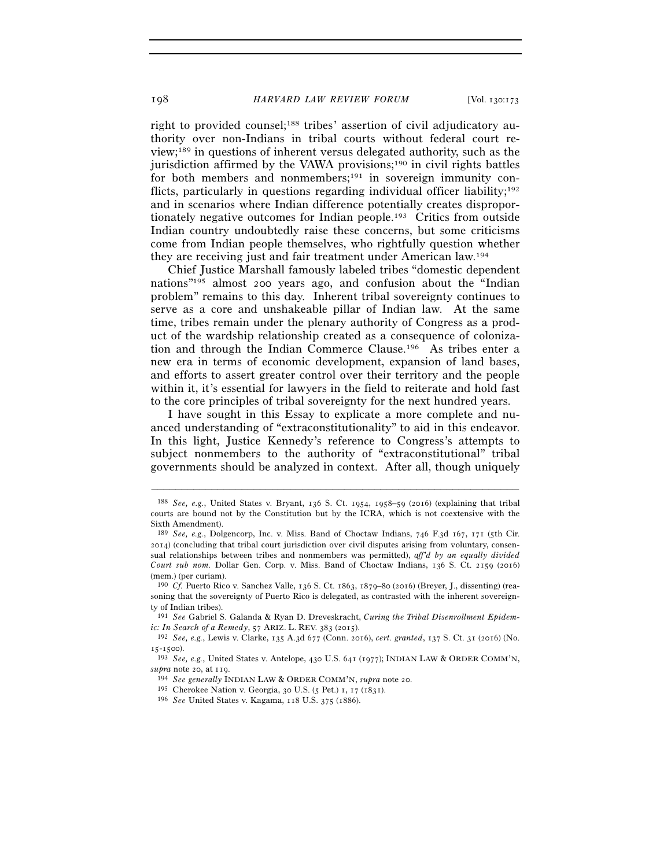right to provided counsel;<sup>188</sup> tribes' assertion of civil adjudicatory authority over non-Indians in tribal courts without federal court review;189 in questions of inherent versus delegated authority, such as the jurisdiction affirmed by the VAWA provisions;190 in civil rights battles for both members and nonmembers;<sup>191</sup> in sovereign immunity conflicts, particularly in questions regarding individual officer liability;<sup>192</sup> and in scenarios where Indian difference potentially creates disproportionately negative outcomes for Indian people.193 Critics from outside Indian country undoubtedly raise these concerns, but some criticisms come from Indian people themselves, who rightfully question whether they are receiving just and fair treatment under American law.194

Chief Justice Marshall famously labeled tribes "domestic dependent nations"195 almost 200 years ago, and confusion about the "Indian problem" remains to this day. Inherent tribal sovereignty continues to serve as a core and unshakeable pillar of Indian law. At the same time, tribes remain under the plenary authority of Congress as a product of the wardship relationship created as a consequence of colonization and through the Indian Commerce Clause.196 As tribes enter a new era in terms of economic development, expansion of land bases, and efforts to assert greater control over their territory and the people within it, it's essential for lawyers in the field to reiterate and hold fast to the core principles of tribal sovereignty for the next hundred years.

I have sought in this Essay to explicate a more complete and nuanced understanding of "extraconstitutionality" to aid in this endeavor. In this light, Justice Kennedy's reference to Congress's attempts to subject nonmembers to the authority of "extraconstitutional" tribal governments should be analyzed in context. After all, though uniquely

<sup>188</sup> *See, e.g.*, United States v. Bryant, 136 S. Ct. 1954, 1958–59 (2016) (explaining that tribal courts are bound not by the Constitution but by the ICRA, which is not coextensive with the Sixth Amendment).

<sup>189</sup> *See, e.g.*, Dolgencorp, Inc. v. Miss. Band of Choctaw Indians, 746 F.3d 167, 171 (5th Cir. 2014) (concluding that tribal court jurisdiction over civil disputes arising from voluntary, consensual relationships between tribes and nonmembers was permitted), *aff'd by an equally divided Court sub nom.* Dollar Gen. Corp. v. Miss. Band of Choctaw Indians, 136 S. Ct. 2159 (2016) (mem.) (per curiam).

<sup>190</sup> *Cf.* Puerto Rico v. Sanchez Valle, 136 S. Ct. 1863, 1879–80 (2016) (Breyer, J., dissenting) (reasoning that the sovereignty of Puerto Rico is delegated, as contrasted with the inherent sovereignty of Indian tribes).

<sup>191</sup> *See* Gabriel S. Galanda & Ryan D. Dreveskracht, *Curing the Tribal Disenrollment Epidemic: In Search of a Remedy*, 57 ARIZ. L. REV. 383 (2015). 192 *See, e.g.*, Lewis v. Clarke, 135 A.3d 677 (Conn. 2016), *cert. granted*, 137 S. Ct. 31 (2016) (No.

<sup>15</sup>-1500). 193 *See, e.g.*, United States v. Antelope, 430 U.S. 641 (1977); INDIAN LAW & ORDER COMM'N,

supra note 20, at 119.<br>
<sup>194</sup> See generally INDIAN LAW & ORDER COMM'N, supra note 20.<br>
<sup>195</sup> Cherokee Nation v. Georgia, 30 U.S. (5 Pet.) 1, 17 (1831).<br>
<sup>196</sup> See United States v. Kagama, 118 U.S. 375 (1886).